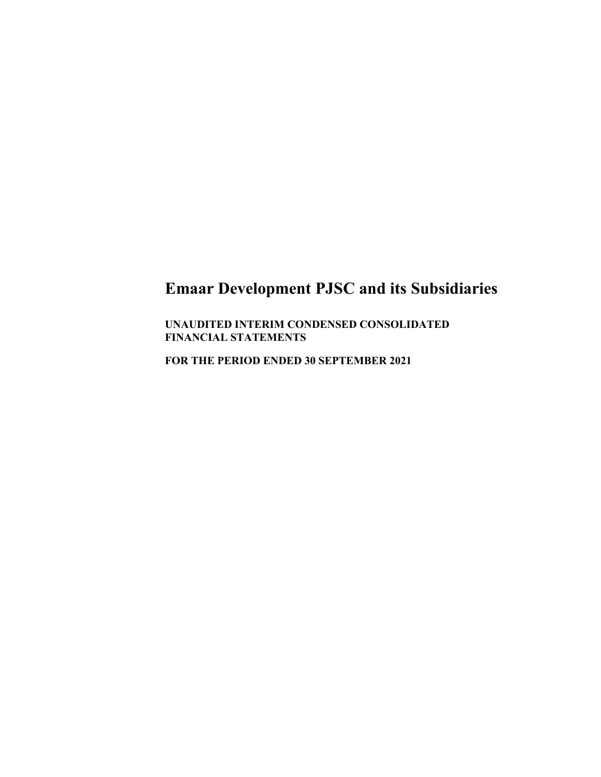**UNAUDITED INTERIM CONDENSED CONSOLIDATED FINANCIAL STATEMENTS** 

**FOR THE PERIOD ENDED 30 SEPTEMBER 2021**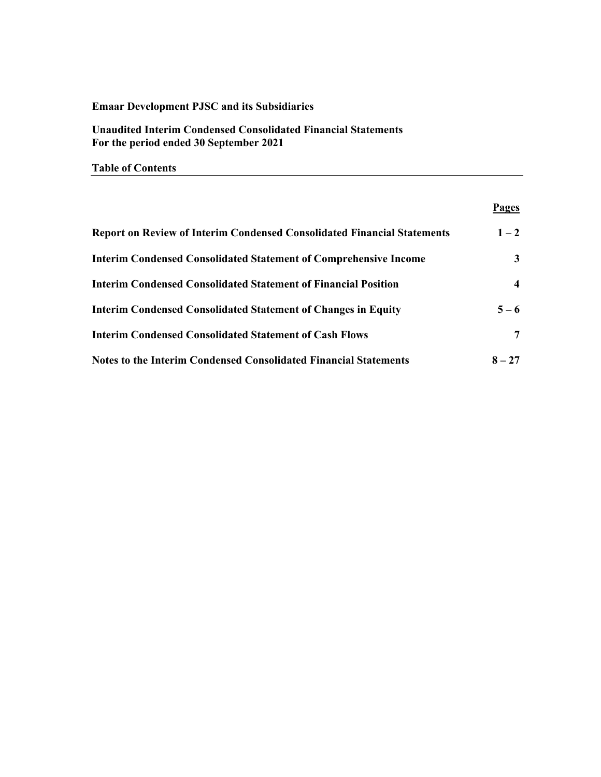**Unaudited Interim Condensed Consolidated Financial Statements For the period ended 30 September 2021** 

**Table of Contents** 

#### **Pages**

| <b>Report on Review of Interim Condensed Consolidated Financial Statements</b> | $1 - 2$                 |
|--------------------------------------------------------------------------------|-------------------------|
| <b>Interim Condensed Consolidated Statement of Comprehensive Income</b>        | 3                       |
| <b>Interim Condensed Consolidated Statement of Financial Position</b>          | $\overline{\mathbf{4}}$ |
| <b>Interim Condensed Consolidated Statement of Changes in Equity</b>           | $5 - 6$                 |
| <b>Interim Condensed Consolidated Statement of Cash Flows</b>                  | 7                       |
| <b>Notes to the Interim Condensed Consolidated Financial Statements</b>        | $8 - 27$                |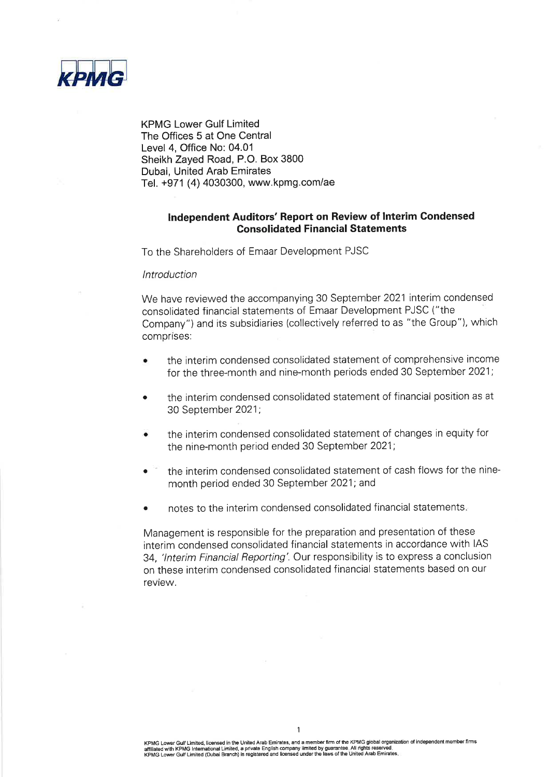

**KPMG Lower Gulf Limited** The Offices 5 at One Central Level 4, Office No: 04.01 Sheikh Zaved Road, P.O. Box 3800 Dubai, United Arab Emirates Tel. +971 (4) 4030300, www.kpmg.com/ae

# Independent Auditors' Report on Review of Interim Condensed **Consolidated Financial Statements**

To the Shareholders of Emaar Development PJSC

# Introduction

We have reviewed the accompanying 30 September 2021 interim condensed consolidated financial statements of Emaar Development PJSC ("the Company") and its subsidiaries (collectively referred to as "the Group"), which comprises:

- the interim condensed consolidated statement of comprehensive income for the three-month and nine-month periods ended 30 September 2021;
- the interim condensed consolidated statement of financial position as at 30 September 2021;
- the interim condensed consolidated statement of changes in equity for the nine-month period ended 30 September 2021;
- the interim condensed consolidated statement of cash flows for the ninemonth period ended 30 September 2021; and
- notes to the interim condensed consolidated financial statements.

Management is responsible for the preparation and presentation of these interim condensed consolidated financial statements in accordance with IAS 34, 'Interim Financial Reporting'. Our responsibility is to express a conclusion on these interim condensed consolidated financial statements based on our review.

1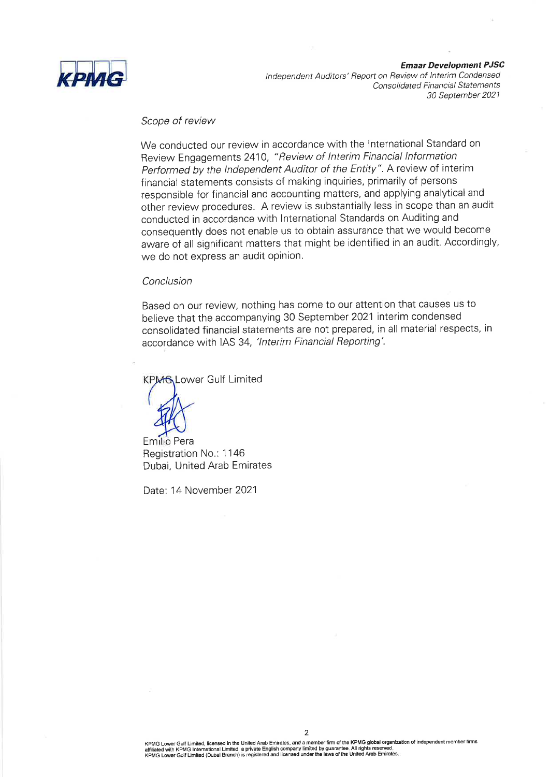

**Emaar Development PJSC** Independent Auditors' Report on Review of Interim Condensed **Consolidated Financial Statements** 30 September 2021

#### Scope of review

We conducted our review in accordance with the International Standard on Review Engagements 2410, "Review of Interim Financial Information Performed by the Independent Auditor of the Entity". A review of interim financial statements consists of making inquiries, primarily of persons responsible for financial and accounting matters, and applying analytical and other review procedures. A review is substantially less in scope than an audit conducted in accordance with International Standards on Auditing and consequently does not enable us to obtain assurance that we would become aware of all significant matters that might be identified in an audit. Accordingly, we do not express an audit opinion.

# Conclusion

Based on our review, nothing has come to our attention that causes us to believe that the accompanying 30 September 2021 interim condensed consolidated financial statements are not prepared, in all material respects, in accordance with IAS 34, 'Interim Financial Reporting'.

KPM6 Lower Gulf Limited

Emilio Pera Registration No.: 1146 Dubai, United Arab Emirates

Date: 14 November 2021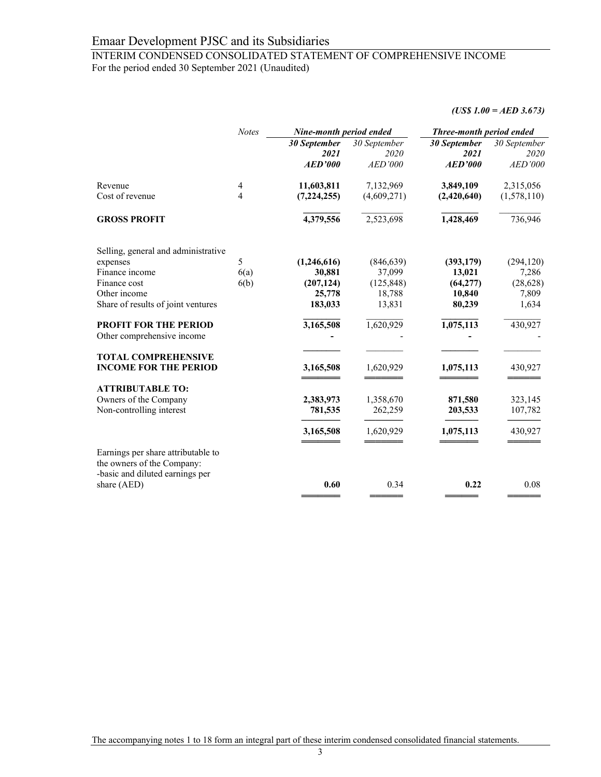# INTERIM CONDENSED CONSOLIDATED STATEMENT OF COMPREHENSIVE INCOME For the period ended 30 September 2021 (Unaudited)

|                                                                                                     |                |                         |              | 1 C D D 1.00             | $1111$ , $0000$ |
|-----------------------------------------------------------------------------------------------------|----------------|-------------------------|--------------|--------------------------|-----------------|
|                                                                                                     | Notes          | Nine-month period ended |              | Three-month period ended |                 |
|                                                                                                     |                | 30 September            | 30 September | 30 September             | 30 September    |
|                                                                                                     |                | 2021                    | 2020         | 2021                     | 2020            |
|                                                                                                     |                | <b>AED'000</b>          | AED'000      | AED'000                  | AED'000         |
| Revenue                                                                                             | $\overline{4}$ | 11,603,811              | 7,132,969    | 3,849,109                | 2,315,056       |
| Cost of revenue                                                                                     | $\overline{4}$ | (7, 224, 255)           | (4,609,271)  | (2,420,640)              | (1,578,110)     |
| <b>GROSS PROFIT</b>                                                                                 |                | 4,379,556               | 2,523,698    | 1,428,469                | 736,946         |
| Selling, general and administrative                                                                 |                |                         |              |                          |                 |
| expenses                                                                                            | 5              | (1,246,616)             | (846, 639)   | (393, 179)               | (294, 120)      |
| Finance income                                                                                      | 6(a)           | 30,881                  | 37,099       | 13,021                   | 7,286           |
| Finance cost                                                                                        | 6(b)           | (207, 124)              | (125, 848)   | (64, 277)                | (28, 628)       |
| Other income                                                                                        |                | 25,778                  | 18,788       | 10,840                   | 7,809           |
| Share of results of joint ventures                                                                  |                | 183,033                 | 13,831       | 80,239                   | 1,634           |
| <b>PROFIT FOR THE PERIOD</b>                                                                        |                | 3,165,508               | 1,620,929    | 1,075,113                | 430,927         |
| Other comprehensive income                                                                          |                |                         |              |                          |                 |
| <b>TOTAL COMPREHENSIVE</b>                                                                          |                |                         |              |                          |                 |
| <b>INCOME FOR THE PERIOD</b>                                                                        |                | 3,165,508               | 1,620,929    | 1,075,113                | 430,927         |
| <b>ATTRIBUTABLE TO:</b>                                                                             |                |                         |              |                          |                 |
| Owners of the Company                                                                               |                | 2,383,973               | 1,358,670    | 871,580                  | 323,145         |
| Non-controlling interest                                                                            |                | 781,535                 | 262,259      | 203,533                  | 107,782         |
|                                                                                                     |                | 3,165,508               | 1,620,929    | 1,075,113                | 430,927         |
| Earnings per share attributable to<br>the owners of the Company:<br>-basic and diluted earnings per |                |                         |              |                          |                 |
| share (AED)                                                                                         |                | 0.60                    | 0.34         | 0.22                     | 0.08            |
|                                                                                                     |                |                         |              |                          |                 |

*(US\$ 1.00 = AED 3.673)*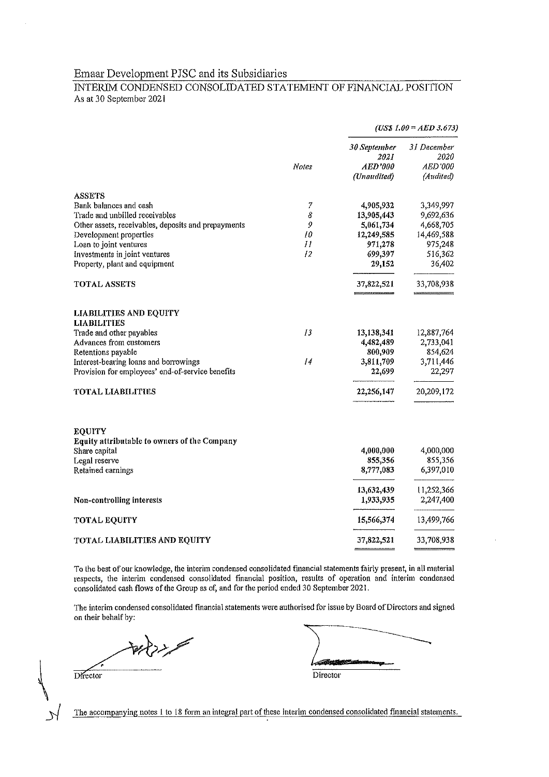# INTERIM CONDENSED CONSOLIDATED STATEMENT OF FINANCIAL POSITION As at 30 September 2021

|                                                                                                                                                                                                                                                           |                            |                                                                           | $(USS 1.00 = AED 3.673)$                                                |
|-----------------------------------------------------------------------------------------------------------------------------------------------------------------------------------------------------------------------------------------------------------|----------------------------|---------------------------------------------------------------------------|-------------------------------------------------------------------------|
|                                                                                                                                                                                                                                                           | <b>Notes</b>               | 30 September<br><i>2021</i><br>AED'000<br>(Unaudited)                     | 31 December<br>2020<br>AED'000<br>(Audited)                             |
|                                                                                                                                                                                                                                                           |                            |                                                                           |                                                                         |
| <b>ASSETS</b>                                                                                                                                                                                                                                             |                            |                                                                           |                                                                         |
| Bank balances and cash<br>Trade and unbilled receivables                                                                                                                                                                                                  | 7<br>8                     | 4,905,932<br>13,905,443                                                   | 3,349,997<br>9,692,636                                                  |
| Other assets, receivables, deposits and prepayments                                                                                                                                                                                                       | 9                          | 5,061,734                                                                 | 4,668,705                                                               |
| Development properties                                                                                                                                                                                                                                    | 10                         | 12,249,585                                                                | 14,469,588                                                              |
| Loan to joint ventures                                                                                                                                                                                                                                    | $\boldsymbol{\mathcal{H}}$ | 971,278                                                                   | 975,248                                                                 |
| Investments in joint ventures                                                                                                                                                                                                                             | 12                         | 699,397                                                                   | 516,362                                                                 |
| Property, plant and equipment                                                                                                                                                                                                                             |                            | 29,152                                                                    | 36,402                                                                  |
| <b>TOTAL ASSETS</b>                                                                                                                                                                                                                                       |                            | 37,822,521                                                                | 33,708,938                                                              |
| <b>LIABILITIES AND EQUITY</b><br><b>LIABILITIES</b><br>Trade and other payables<br>Advances from customers<br>Retentions payable<br>Interest-bearing loans and borrowings<br>Provision for employees' end-of-service benefits<br><b>TOTAL LIABILITIES</b> | 13<br>14                   | 13, 138, 341<br>4,482,489<br>800,909<br>3,811,709<br>22,699<br>22,256,147 | 12,887,764<br>2,733,041<br>854,624<br>3,711,446<br>22,297<br>20,209,172 |
| <b>EQUITY</b><br>Equity attributable to owners of the Company<br>Share capital<br>Legal reserve<br>Retained earnings                                                                                                                                      |                            | 4,000,000<br>855,356<br>8,777,083                                         | 4,000,000<br>855,356<br>6,397,010                                       |
|                                                                                                                                                                                                                                                           |                            | 13,632,439                                                                | 11,252,366                                                              |
| Non-controlling interests                                                                                                                                                                                                                                 |                            | 1,933,935                                                                 | 2,247,400                                                               |
| <b>TOTAL EQUITY</b>                                                                                                                                                                                                                                       |                            | 15,566,374                                                                | 13,499,766                                                              |
| TOTAL LIABILITIES AND EQUITY                                                                                                                                                                                                                              |                            | 37,822,521                                                                | 33,708,938                                                              |
|                                                                                                                                                                                                                                                           |                            |                                                                           |                                                                         |

To the best of our knowledge, the interim condensed consolidated financial statements fairly present, in all material respects, the interim condensed consolidated financial position, results of operation and interim condensed consolidated cash flows of the Group as of, and for the period ended 30 September 2021.

The interim condensed consolidated financial statements were authorised for issue by Board of Directors and signed on their behalf by:

Director

Director

The accompanying notes 1 to 18 form an integral part of these interim condensed consolidated financial statements.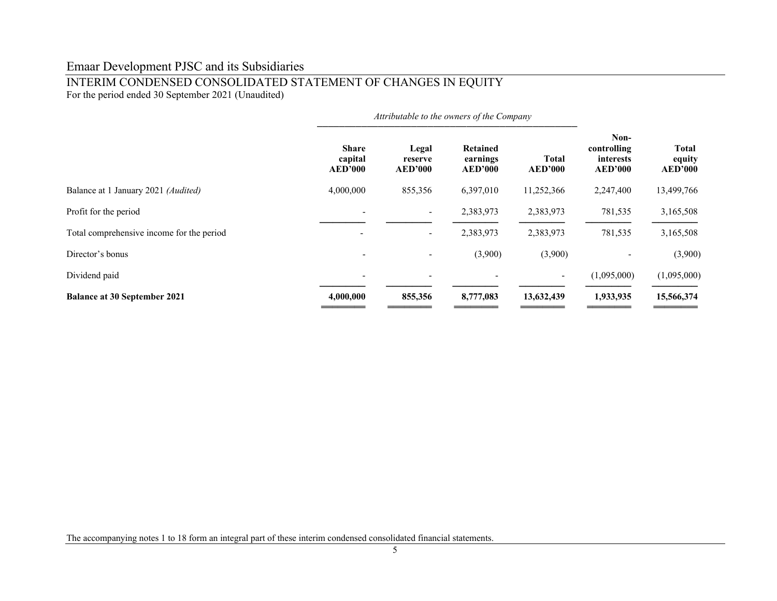# INTERIM CONDENSED CONSOLIDATED STATEMENT OF CHANGES IN EQUITY

For the period ended 30 September 2021 (Unaudited)

|                                           | Attributable to the owners of the Company |                                    |                                        |                                |                                                    |                                   |
|-------------------------------------------|-------------------------------------------|------------------------------------|----------------------------------------|--------------------------------|----------------------------------------------------|-----------------------------------|
|                                           | <b>Share</b><br>capital<br><b>AED'000</b> | Legal<br>reserve<br><b>AED'000</b> | Retained<br>earnings<br><b>AED'000</b> | <b>Total</b><br><b>AED'000</b> | Non-<br>controlling<br>interests<br><b>AED'000</b> | Total<br>equity<br><b>AED'000</b> |
| Balance at 1 January 2021 (Audited)       | 4,000,000                                 | 855,356                            | 6,397,010                              | 11,252,366                     | 2,247,400                                          | 13,499,766                        |
| Profit for the period                     |                                           |                                    | 2,383,973                              | 2,383,973                      | 781,535                                            | 3,165,508                         |
| Total comprehensive income for the period |                                           |                                    | 2,383,973                              | 2,383,973                      | 781,535                                            | 3,165,508                         |
| Director's bonus                          |                                           |                                    | (3,900)                                | (3,900)                        |                                                    | (3,900)                           |
| Dividend paid                             |                                           |                                    |                                        | $\overline{\phantom{a}}$       | (1,095,000)                                        | (1,095,000)                       |
| <b>Balance at 30 September 2021</b>       | 4,000,000                                 | 855,356                            | 8,777,083                              | 13,632,439                     | 1,933,935                                          | 15,566,374                        |

The accompanying notes 1 to 18 form an integral part of these interim condensed consolidated financial statements.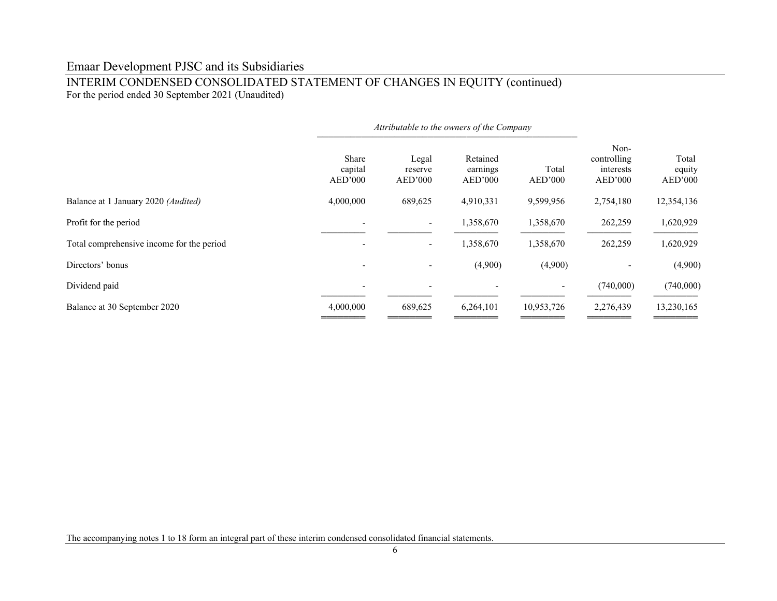# INTERIM CONDENSED CONSOLIDATED STATEMENT OF CHANGES IN EQUITY (continued) For the period ended 30 September 2021 (Unaudited)

|                                           |                             | Attributable to the owners of the Company |                                 |                          |                                             |                            |
|-------------------------------------------|-----------------------------|-------------------------------------------|---------------------------------|--------------------------|---------------------------------------------|----------------------------|
|                                           | Share<br>capital<br>AED'000 | Legal<br>reserve<br>AED'000               | Retained<br>earnings<br>AED'000 | Total<br>AED'000         | Non-<br>controlling<br>interests<br>AED'000 | Total<br>equity<br>AED'000 |
| Balance at 1 January 2020 (Audited)       | 4,000,000                   | 689,625                                   | 4,910,331                       | 9,599,956                | 2,754,180                                   | 12,354,136                 |
| Profit for the period                     |                             |                                           | 1,358,670                       | 1,358,670                | 262,259                                     | 1,620,929                  |
| Total comprehensive income for the period |                             |                                           | 1,358,670                       | 1,358,670                | 262,259                                     | 1,620,929                  |
| Directors' bonus                          |                             |                                           | (4,900)                         | (4,900)                  |                                             | (4,900)                    |
| Dividend paid                             |                             |                                           |                                 | $\overline{\phantom{a}}$ | (740,000)                                   | (740,000)                  |
| Balance at 30 September 2020              | 4,000,000                   | 689,625                                   | 6,264,101                       | 10,953,726               | 2,276,439                                   | 13,230,165                 |

The accompanying notes 1 to 18 form an integral part of these interim condensed consolidated financial statements.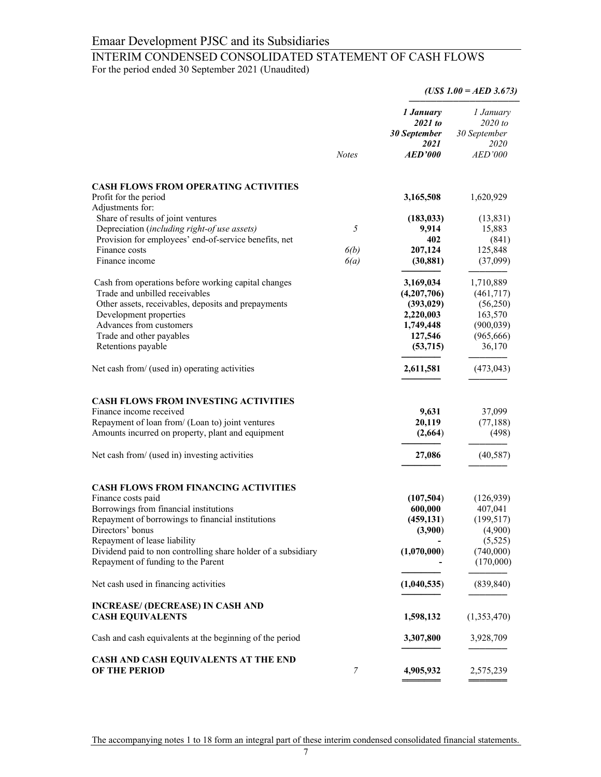# INTERIM CONDENSED CONSOLIDATED STATEMENT OF CASH FLOWS

For the period ended 30 September 2021 (Unaudited)

### *(US\$ 1.00 = AED 3.673)*

|                                                                                                                                                                                                                                  | <b>Notes</b> | 1 January<br>2021 to<br><b>30 September</b><br><i>2021</i><br>AED'000 | 1 January<br>$2020$ to<br>30 September<br>2020<br>AED'000 |
|----------------------------------------------------------------------------------------------------------------------------------------------------------------------------------------------------------------------------------|--------------|-----------------------------------------------------------------------|-----------------------------------------------------------|
| <b>CASH FLOWS FROM OPERATING ACTIVITIES</b>                                                                                                                                                                                      |              |                                                                       |                                                           |
| Profit for the period                                                                                                                                                                                                            |              | 3,165,508                                                             | 1,620,929                                                 |
| Adjustments for:                                                                                                                                                                                                                 |              |                                                                       |                                                           |
| Share of results of joint ventures                                                                                                                                                                                               | 5            | (183, 033)                                                            | (13, 831)                                                 |
| Depreciation (including right-of use assets)<br>Provision for employees' end-of-service benefits, net                                                                                                                            |              | 9,914<br>402                                                          | 15,883<br>(841)                                           |
| Finance costs                                                                                                                                                                                                                    | 6(b)         | 207,124                                                               | 125,848                                                   |
| Finance income                                                                                                                                                                                                                   | 6(a)         | (30, 881)                                                             | (37,099)                                                  |
|                                                                                                                                                                                                                                  |              |                                                                       |                                                           |
| Cash from operations before working capital changes                                                                                                                                                                              |              | 3,169,034                                                             | 1,710,889                                                 |
| Trade and unbilled receivables                                                                                                                                                                                                   |              | (4,207,706)                                                           | (461,717)                                                 |
| Other assets, receivables, deposits and prepayments                                                                                                                                                                              |              | (393, 029)                                                            | (56,250)                                                  |
| Development properties                                                                                                                                                                                                           |              | 2,220,003                                                             | 163,570                                                   |
| Advances from customers                                                                                                                                                                                                          |              | 1,749,448                                                             | (900, 039)                                                |
| Trade and other payables                                                                                                                                                                                                         |              | 127,546                                                               | (965, 666)                                                |
| Retentions payable                                                                                                                                                                                                               |              | (53,715)                                                              | 36,170                                                    |
| Net cash from/ (used in) operating activities                                                                                                                                                                                    |              | 2,611,581                                                             | (473, 043)                                                |
| <b>CASH FLOWS FROM INVESTING ACTIVITIES</b><br>Finance income received<br>Repayment of loan from/ (Loan to) joint ventures<br>Amounts incurred on property, plant and equipment<br>Net cash from/ (used in) investing activities |              | 9,631<br>20,119<br>(2,664)<br>27,086                                  | 37,099<br>(77,188)<br>(498)<br>(40, 587)                  |
| <b>CASH FLOWS FROM FINANCING ACTIVITIES</b><br>Finance costs paid<br>Borrowings from financial institutions<br>Repayment of borrowings to financial institutions<br>Directors' bonus<br>Repayment of lease liability             |              | (107, 504)<br>600,000<br>(459, 131)<br>(3,900)                        | (126,939)<br>407,041<br>(199, 517)<br>(4,900)<br>(5,525)  |
| Dividend paid to non controlling share holder of a subsidiary<br>Repayment of funding to the Parent                                                                                                                              |              | (1,070,000)                                                           | (740,000)<br>(170,000)                                    |
| Net cash used in financing activities                                                                                                                                                                                            |              | (1,040,535)                                                           | (839, 840)                                                |
| <b>INCREASE/ (DECREASE) IN CASH AND</b>                                                                                                                                                                                          |              |                                                                       |                                                           |
| <b>CASH EQUIVALENTS</b>                                                                                                                                                                                                          |              | 1,598,132                                                             | (1,353,470)                                               |
| Cash and cash equivalents at the beginning of the period                                                                                                                                                                         |              | 3,307,800                                                             | 3,928,709                                                 |
| CASH AND CASH EQUIVALENTS AT THE END<br>OF THE PERIOD                                                                                                                                                                            | 7            | 4,905,932                                                             | 2,575,239                                                 |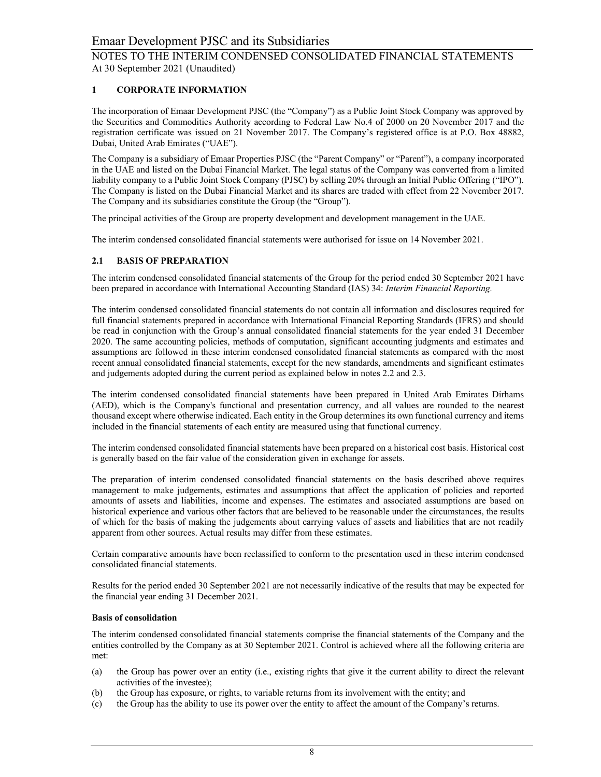# **1 CORPORATE INFORMATION**

The incorporation of Emaar Development PJSC (the "Company") as a Public Joint Stock Company was approved by the Securities and Commodities Authority according to Federal Law No.4 of 2000 on 20 November 2017 and the registration certificate was issued on 21 November 2017. The Company's registered office is at P.O. Box 48882, Dubai, United Arab Emirates ("UAE").

The Company is a subsidiary of Emaar Properties PJSC (the "Parent Company" or "Parent"), a company incorporated in the UAE and listed on the Dubai Financial Market. The legal status of the Company was converted from a limited liability company to a Public Joint Stock Company (PJSC) by selling 20% through an Initial Public Offering ("IPO"). The Company is listed on the Dubai Financial Market and its shares are traded with effect from 22 November 2017. The Company and its subsidiaries constitute the Group (the "Group").

The principal activities of the Group are property development and development management in the UAE.

The interim condensed consolidated financial statements were authorised for issue on 14 November 2021.

# **2.1 BASIS OF PREPARATION**

The interim condensed consolidated financial statements of the Group for the period ended 30 September 2021 have been prepared in accordance with International Accounting Standard (IAS) 34: *Interim Financial Reporting.*

The interim condensed consolidated financial statements do not contain all information and disclosures required for full financial statements prepared in accordance with International Financial Reporting Standards (IFRS) and should be read in conjunction with the Group's annual consolidated financial statements for the year ended 31 December 2020. The same accounting policies, methods of computation, significant accounting judgments and estimates and assumptions are followed in these interim condensed consolidated financial statements as compared with the most recent annual consolidated financial statements, except for the new standards, amendments and significant estimates and judgements adopted during the current period as explained below in notes 2.2 and 2.3.

The interim condensed consolidated financial statements have been prepared in United Arab Emirates Dirhams (AED), which is the Company's functional and presentation currency, and all values are rounded to the nearest thousand except where otherwise indicated. Each entity in the Group determines its own functional currency and items included in the financial statements of each entity are measured using that functional currency.

The interim condensed consolidated financial statements have been prepared on a historical cost basis. Historical cost is generally based on the fair value of the consideration given in exchange for assets.

The preparation of interim condensed consolidated financial statements on the basis described above requires management to make judgements, estimates and assumptions that affect the application of policies and reported amounts of assets and liabilities, income and expenses. The estimates and associated assumptions are based on historical experience and various other factors that are believed to be reasonable under the circumstances, the results of which for the basis of making the judgements about carrying values of assets and liabilities that are not readily apparent from other sources. Actual results may differ from these estimates.

Certain comparative amounts have been reclassified to conform to the presentation used in these interim condensed consolidated financial statements.

Results for the period ended 30 September 2021 are not necessarily indicative of the results that may be expected for the financial year ending 31 December 2021.

#### **Basis of consolidation**

The interim condensed consolidated financial statements comprise the financial statements of the Company and the entities controlled by the Company as at 30 September 2021. Control is achieved where all the following criteria are met:

- (a) the Group has power over an entity (i.e., existing rights that give it the current ability to direct the relevant activities of the investee);
- (b) the Group has exposure, or rights, to variable returns from its involvement with the entity; and
- (c) the Group has the ability to use its power over the entity to affect the amount of the Company's returns.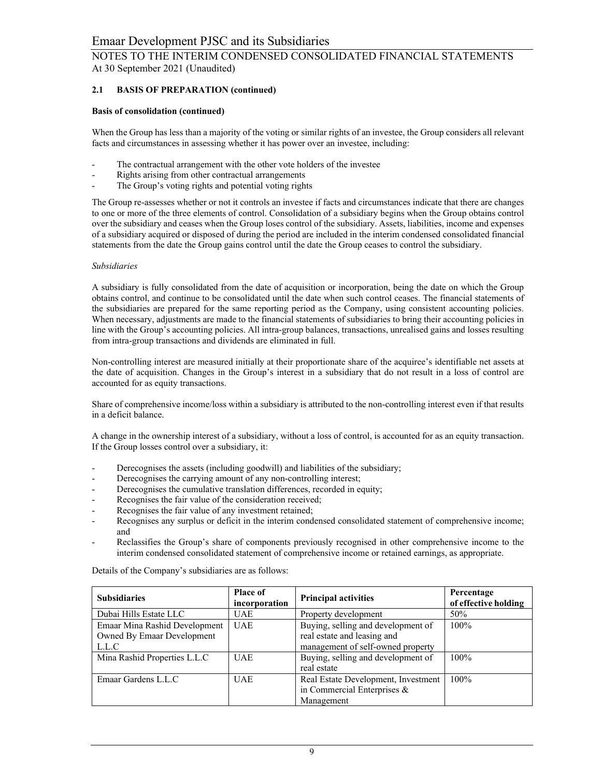# **2.1 BASIS OF PREPARATION (continued)**

#### **Basis of consolidation (continued)**

When the Group has less than a majority of the voting or similar rights of an investee, the Group considers all relevant facts and circumstances in assessing whether it has power over an investee, including:

- The contractual arrangement with the other vote holders of the investee
- Rights arising from other contractual arrangements
- The Group's voting rights and potential voting rights

The Group re-assesses whether or not it controls an investee if facts and circumstances indicate that there are changes to one or more of the three elements of control. Consolidation of a subsidiary begins when the Group obtains control over the subsidiary and ceases when the Group loses control of the subsidiary. Assets, liabilities, income and expenses of a subsidiary acquired or disposed of during the period are included in the interim condensed consolidated financial statements from the date the Group gains control until the date the Group ceases to control the subsidiary.

#### *Subsidiaries*

A subsidiary is fully consolidated from the date of acquisition or incorporation, being the date on which the Group obtains control, and continue to be consolidated until the date when such control ceases. The financial statements of the subsidiaries are prepared for the same reporting period as the Company, using consistent accounting policies. When necessary, adjustments are made to the financial statements of subsidiaries to bring their accounting policies in line with the Group's accounting policies. All intra-group balances, transactions, unrealised gains and losses resulting from intra-group transactions and dividends are eliminated in full.

Non-controlling interest are measured initially at their proportionate share of the acquiree's identifiable net assets at the date of acquisition. Changes in the Group's interest in a subsidiary that do not result in a loss of control are accounted for as equity transactions.

Share of comprehensive income/loss within a subsidiary is attributed to the non-controlling interest even if that results in a deficit balance.

A change in the ownership interest of a subsidiary, without a loss of control, is accounted for as an equity transaction. If the Group losses control over a subsidiary, it:

- Derecognises the assets (including goodwill) and liabilities of the subsidiary;
- Derecognises the carrying amount of any non-controlling interest;
- Derecognises the cumulative translation differences, recorded in equity;
- Recognises the fair value of the consideration received;
- Recognises the fair value of any investment retained;
- Recognises any surplus or deficit in the interim condensed consolidated statement of comprehensive income; and
- Reclassifies the Group's share of components previously recognised in other comprehensive income to the interim condensed consolidated statement of comprehensive income or retained earnings, as appropriate.

Details of the Company's subsidiaries are as follows:

| <b>Subsidiaries</b>           | <b>Place of</b><br>incorporation | <b>Principal activities</b>         | Percentage<br>of effective holding |
|-------------------------------|----------------------------------|-------------------------------------|------------------------------------|
| Dubai Hills Estate LLC        | <b>UAE</b>                       | Property development                | 50%                                |
| Emaar Mina Rashid Development | <b>UAE</b>                       | Buying, selling and development of  | $100\%$                            |
| Owned By Emaar Development    |                                  | real estate and leasing and         |                                    |
| L.L.C                         |                                  | management of self-owned property   |                                    |
| Mina Rashid Properties L.L.C  | <b>UAE</b>                       | Buying, selling and development of  | $100\%$                            |
|                               |                                  | real estate                         |                                    |
| Emaar Gardens L.L.C           | <b>UAE</b>                       | Real Estate Development, Investment | $100\%$                            |
|                               |                                  | in Commercial Enterprises $\&$      |                                    |
|                               |                                  | Management                          |                                    |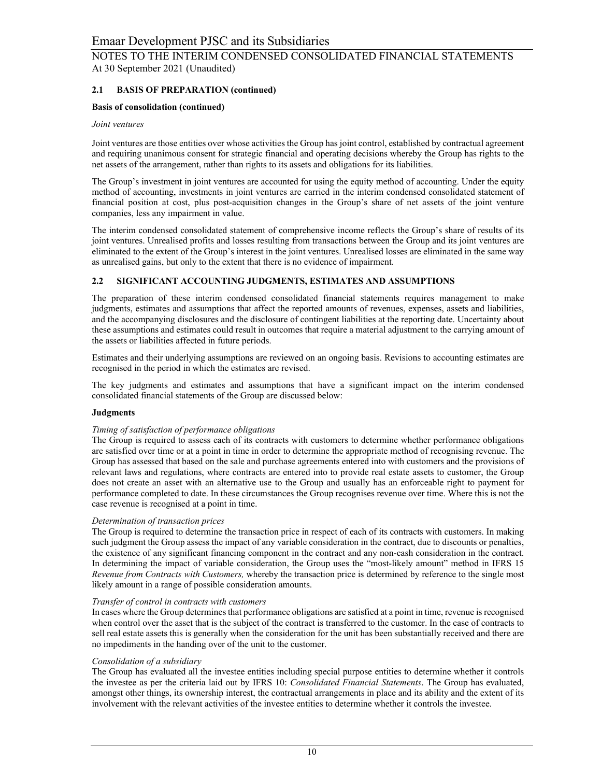# **2.1 BASIS OF PREPARATION (continued)**

#### **Basis of consolidation (continued)**

#### *Joint ventures*

Joint ventures are those entities over whose activities the Group has joint control, established by contractual agreement and requiring unanimous consent for strategic financial and operating decisions whereby the Group has rights to the net assets of the arrangement, rather than rights to its assets and obligations for its liabilities.

The Group's investment in joint ventures are accounted for using the equity method of accounting. Under the equity method of accounting, investments in joint ventures are carried in the interim condensed consolidated statement of financial position at cost, plus post-acquisition changes in the Group's share of net assets of the joint venture companies, less any impairment in value.

The interim condensed consolidated statement of comprehensive income reflects the Group's share of results of its joint ventures. Unrealised profits and losses resulting from transactions between the Group and its joint ventures are eliminated to the extent of the Group's interest in the joint ventures. Unrealised losses are eliminated in the same way as unrealised gains, but only to the extent that there is no evidence of impairment.

# **2.2 SIGNIFICANT ACCOUNTING JUDGMENTS, ESTIMATES AND ASSUMPTIONS**

The preparation of these interim condensed consolidated financial statements requires management to make judgments, estimates and assumptions that affect the reported amounts of revenues, expenses, assets and liabilities, and the accompanying disclosures and the disclosure of contingent liabilities at the reporting date. Uncertainty about these assumptions and estimates could result in outcomes that require a material adjustment to the carrying amount of the assets or liabilities affected in future periods.

Estimates and their underlying assumptions are reviewed on an ongoing basis. Revisions to accounting estimates are recognised in the period in which the estimates are revised.

The key judgments and estimates and assumptions that have a significant impact on the interim condensed consolidated financial statements of the Group are discussed below:

#### **Judgments**

#### *Timing of satisfaction of performance obligations*

The Group is required to assess each of its contracts with customers to determine whether performance obligations are satisfied over time or at a point in time in order to determine the appropriate method of recognising revenue. The Group has assessed that based on the sale and purchase agreements entered into with customers and the provisions of relevant laws and regulations, where contracts are entered into to provide real estate assets to customer, the Group does not create an asset with an alternative use to the Group and usually has an enforceable right to payment for performance completed to date. In these circumstances the Group recognises revenue over time. Where this is not the case revenue is recognised at a point in time.

#### *Determination of transaction prices*

The Group is required to determine the transaction price in respect of each of its contracts with customers. In making such judgment the Group assess the impact of any variable consideration in the contract, due to discounts or penalties, the existence of any significant financing component in the contract and any non-cash consideration in the contract. In determining the impact of variable consideration, the Group uses the "most-likely amount" method in IFRS 15 *Revenue from Contracts with Customers,* whereby the transaction price is determined by reference to the single most likely amount in a range of possible consideration amounts.

#### *Transfer of control in contracts with customers*

In cases where the Group determines that performance obligations are satisfied at a point in time, revenue is recognised when control over the asset that is the subject of the contract is transferred to the customer. In the case of contracts to sell real estate assets this is generally when the consideration for the unit has been substantially received and there are no impediments in the handing over of the unit to the customer.

#### *Consolidation of a subsidiary*

The Group has evaluated all the investee entities including special purpose entities to determine whether it controls the investee as per the criteria laid out by IFRS 10: *Consolidated Financial Statements*. The Group has evaluated, amongst other things, its ownership interest, the contractual arrangements in place and its ability and the extent of its involvement with the relevant activities of the investee entities to determine whether it controls the investee.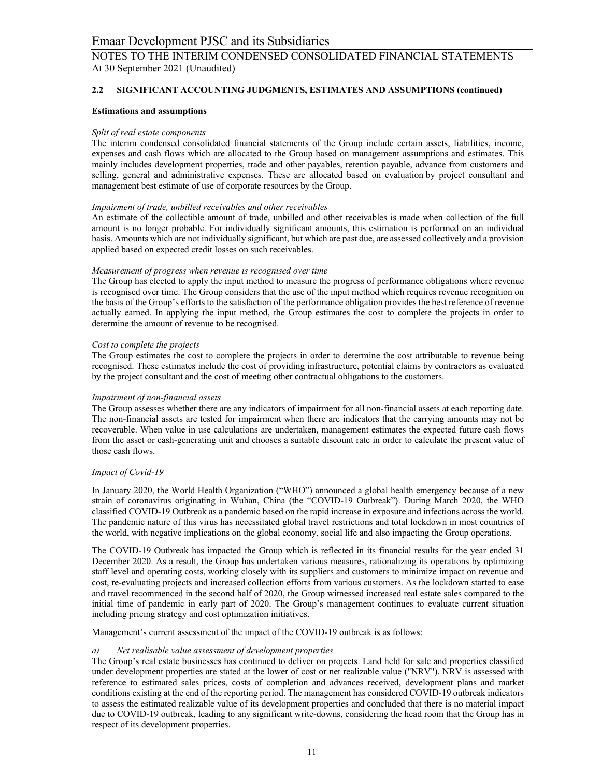# **2.2 SIGNIFICANT ACCOUNTING JUDGMENTS, ESTIMATES AND ASSUMPTIONS (continued)**

#### **Estimations and assumptions**

#### *Split of real estate components*

The interim condensed consolidated financial statements of the Group include certain assets, liabilities, income, expenses and cash flows which are allocated to the Group based on management assumptions and estimates. This mainly includes development properties, trade and other payables, retention payable, advance from customers and selling, general and administrative expenses. These are allocated based on evaluation by project consultant and management best estimate of use of corporate resources by the Group.

#### *Impairment of trade, unbilled receivables and other receivables*

An estimate of the collectible amount of trade, unbilled and other receivables is made when collection of the full amount is no longer probable. For individually significant amounts, this estimation is performed on an individual basis. Amounts which are not individually significant, but which are past due, are assessed collectively and a provision applied based on expected credit losses on such receivables.

#### *Measurement of progress when revenue is recognised over time*

The Group has elected to apply the input method to measure the progress of performance obligations where revenue is recognised over time. The Group considers that the use of the input method which requires revenue recognition on the basis of the Group's efforts to the satisfaction of the performance obligation provides the best reference of revenue actually earned. In applying the input method, the Group estimates the cost to complete the projects in order to determine the amount of revenue to be recognised.

#### *Cost to complete the projects*

The Group estimates the cost to complete the projects in order to determine the cost attributable to revenue being recognised. These estimates include the cost of providing infrastructure, potential claims by contractors as evaluated by the project consultant and the cost of meeting other contractual obligations to the customers.

#### *Impairment of non-financial assets*

The Group assesses whether there are any indicators of impairment for all non-financial assets at each reporting date. The non-financial assets are tested for impairment when there are indicators that the carrying amounts may not be recoverable. When value in use calculations are undertaken, management estimates the expected future cash flows from the asset or cash-generating unit and chooses a suitable discount rate in order to calculate the present value of those cash flows.

#### *Impact of Covid-19*

In January 2020, the World Health Organization ("WHO") announced a global health emergency because of a new strain of coronavirus originating in Wuhan, China (the "COVID-19 Outbreak"). During March 2020, the WHO classified COVID-19 Outbreak as a pandemic based on the rapid increase in exposure and infections across the world. The pandemic nature of this virus has necessitated global travel restrictions and total lockdown in most countries of the world, with negative implications on the global economy, social life and also impacting the Group operations.

The COVID-19 Outbreak has impacted the Group which is reflected in its financial results for the year ended 31 December 2020. As a result, the Group has undertaken various measures, rationalizing its operations by optimizing staff level and operating costs, working closely with its suppliers and customers to minimize impact on revenue and cost, re-evaluating projects and increased collection efforts from various customers. As the lockdown started to ease and travel recommenced in the second half of 2020, the Group witnessed increased real estate sales compared to the initial time of pandemic in early part of 2020. The Group's management continues to evaluate current situation including pricing strategy and cost optimization initiatives.

Management's current assessment of the impact of the COVID-19 outbreak is as follows:

#### *a) Net realisable value assessment of development properties*

The Group's real estate businesses has continued to deliver on projects. Land held for sale and properties classified under development properties are stated at the lower of cost or net realizable value ("NRV"). NRV is assessed with reference to estimated sales prices, costs of completion and advances received, development plans and market conditions existing at the end of the reporting period. The management has considered COVID-19 outbreak indicators to assess the estimated realizable value of its development properties and concluded that there is no material impact due to COVID-19 outbreak, leading to any significant write-downs, considering the head room that the Group has in respect of its development properties.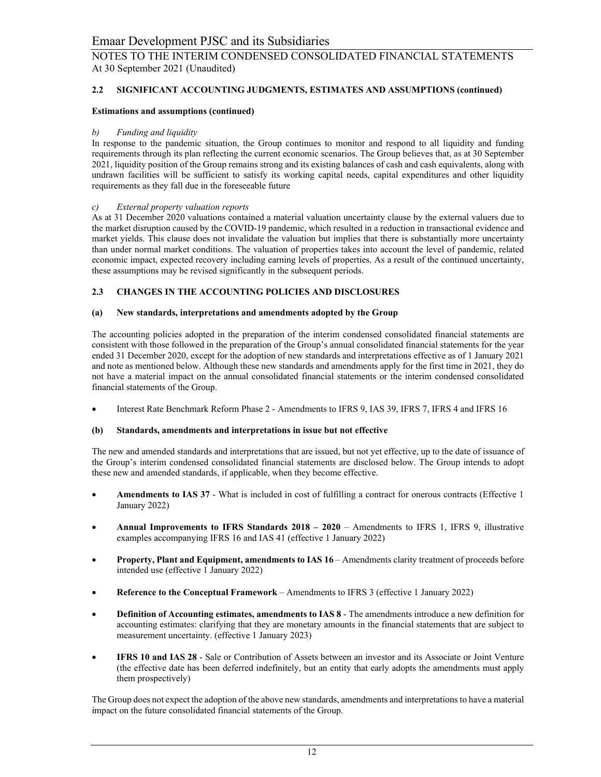# **2.2 SIGNIFICANT ACCOUNTING JUDGMENTS, ESTIMATES AND ASSUMPTIONS (continued)**

#### **Estimations and assumptions (continued)**

### *b) Funding and liquidity*

In response to the pandemic situation, the Group continues to monitor and respond to all liquidity and funding requirements through its plan reflecting the current economic scenarios. The Group believes that, as at 30 September 2021, liquidity position of the Group remains strong and its existing balances of cash and cash equivalents, along with undrawn facilities will be sufficient to satisfy its working capital needs, capital expenditures and other liquidity requirements as they fall due in the foreseeable future

### *c) External property valuation reports*

As at 31 December 2020 valuations contained a material valuation uncertainty clause by the external valuers due to the market disruption caused by the COVID-19 pandemic, which resulted in a reduction in transactional evidence and market yields. This clause does not invalidate the valuation but implies that there is substantially more uncertainty than under normal market conditions. The valuation of properties takes into account the level of pandemic, related economic impact, expected recovery including earning levels of properties. As a result of the continued uncertainty, these assumptions may be revised significantly in the subsequent periods.

### **2.3 CHANGES IN THE ACCOUNTING POLICIES AND DISCLOSURES**

#### **(a) New standards, interpretations and amendments adopted by the Group**

The accounting policies adopted in the preparation of the interim condensed consolidated financial statements are consistent with those followed in the preparation of the Group's annual consolidated financial statements for the year ended 31 December 2020, except for the adoption of new standards and interpretations effective as of 1 January 2021 and note as mentioned below. Although these new standards and amendments apply for the first time in 2021, they do not have a material impact on the annual consolidated financial statements or the interim condensed consolidated financial statements of the Group.

• Interest Rate Benchmark Reform Phase 2 - Amendments to IFRS 9, IAS 39, IFRS 7, IFRS 4 and IFRS 16

#### **(b) Standards, amendments and interpretations in issue but not effective**

The new and amended standards and interpretations that are issued, but not yet effective, up to the date of issuance of the Group's interim condensed consolidated financial statements are disclosed below. The Group intends to adopt these new and amended standards, if applicable, when they become effective.

- **Amendments to IAS 37**  What is included in cost of fulfilling a contract for onerous contracts (Effective 1 January 2022)
- **Annual Improvements to IFRS Standards 2018 2020** Amendments to IFRS 1, IFRS 9, illustrative examples accompanying IFRS 16 and IAS 41 (effective 1 January 2022)
- **Property, Plant and Equipment, amendments to IAS 16** Amendments clarity treatment of proceeds before intended use (effective 1 January 2022)
- **•** Reference to the Conceptual Framework Amendments to IFRS 3 (effective 1 January 2022)
- **Definition of Accounting estimates, amendments to IAS 8** The amendments introduce a new definition for accounting estimates: clarifying that they are monetary amounts in the financial statements that are subject to measurement uncertainty. (effective 1 January 2023)
- **IFRS 10 and IAS 28** Sale or Contribution of Assets between an investor and its Associate or Joint Venture (the effective date has been deferred indefinitely, but an entity that early adopts the amendments must apply them prospectively)

The Group does not expect the adoption of the above new standards, amendments and interpretations to have a material impact on the future consolidated financial statements of the Group.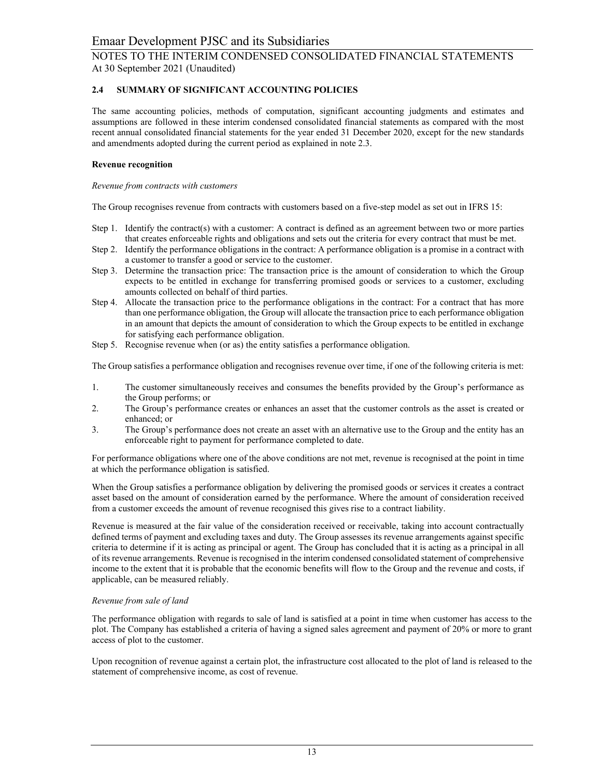# **2.4 SUMMARY OF SIGNIFICANT ACCOUNTING POLICIES**

The same accounting policies, methods of computation, significant accounting judgments and estimates and assumptions are followed in these interim condensed consolidated financial statements as compared with the most recent annual consolidated financial statements for the year ended 31 December 2020, except for the new standards and amendments adopted during the current period as explained in note 2.3.

#### **Revenue recognition**

#### *Revenue from contracts with customers*

The Group recognises revenue from contracts with customers based on a five-step model as set out in IFRS 15:

- Step 1. Identify the contract(s) with a customer: A contract is defined as an agreement between two or more parties that creates enforceable rights and obligations and sets out the criteria for every contract that must be met.
- Step 2. Identify the performance obligations in the contract: A performance obligation is a promise in a contract with a customer to transfer a good or service to the customer.
- Step 3. Determine the transaction price: The transaction price is the amount of consideration to which the Group expects to be entitled in exchange for transferring promised goods or services to a customer, excluding amounts collected on behalf of third parties.
- Step 4. Allocate the transaction price to the performance obligations in the contract: For a contract that has more than one performance obligation, the Group will allocate the transaction price to each performance obligation in an amount that depicts the amount of consideration to which the Group expects to be entitled in exchange for satisfying each performance obligation.
- Step 5. Recognise revenue when (or as) the entity satisfies a performance obligation.

The Group satisfies a performance obligation and recognises revenue over time, if one of the following criteria is met:

- 1. The customer simultaneously receives and consumes the benefits provided by the Group's performance as the Group performs; or
- 2. The Group's performance creates or enhances an asset that the customer controls as the asset is created or enhanced; or
- 3. The Group's performance does not create an asset with an alternative use to the Group and the entity has an enforceable right to payment for performance completed to date.

For performance obligations where one of the above conditions are not met, revenue is recognised at the point in time at which the performance obligation is satisfied.

When the Group satisfies a performance obligation by delivering the promised goods or services it creates a contract asset based on the amount of consideration earned by the performance. Where the amount of consideration received from a customer exceeds the amount of revenue recognised this gives rise to a contract liability.

Revenue is measured at the fair value of the consideration received or receivable, taking into account contractually defined terms of payment and excluding taxes and duty. The Group assesses its revenue arrangements against specific criteria to determine if it is acting as principal or agent. The Group has concluded that it is acting as a principal in all of its revenue arrangements. Revenue is recognised in the interim condensed consolidated statement of comprehensive income to the extent that it is probable that the economic benefits will flow to the Group and the revenue and costs, if applicable, can be measured reliably.

#### *Revenue from sale of land*

The performance obligation with regards to sale of land is satisfied at a point in time when customer has access to the plot. The Company has established a criteria of having a signed sales agreement and payment of 20% or more to grant access of plot to the customer.

Upon recognition of revenue against a certain plot, the infrastructure cost allocated to the plot of land is released to the statement of comprehensive income, as cost of revenue.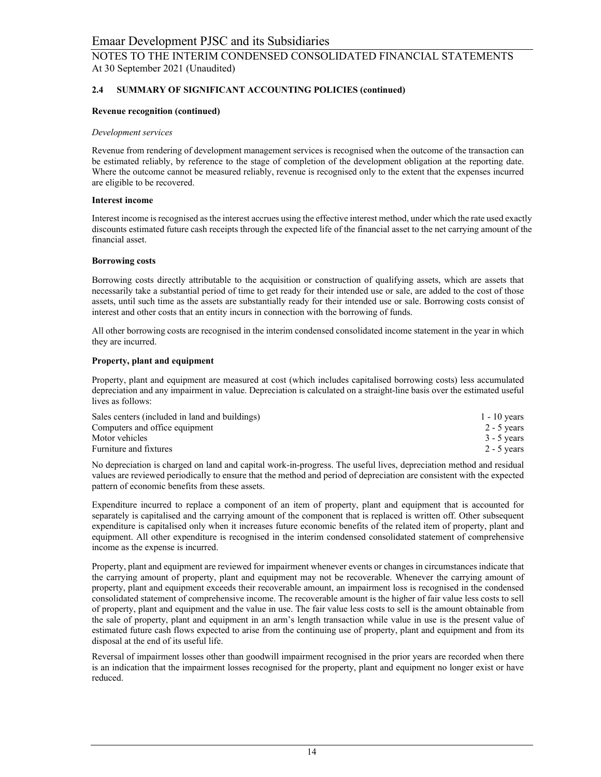# **2.4 SUMMARY OF SIGNIFICANT ACCOUNTING POLICIES (continued)**

#### **Revenue recognition (continued)**

#### *Development services*

Revenue from rendering of development management services is recognised when the outcome of the transaction can be estimated reliably, by reference to the stage of completion of the development obligation at the reporting date. Where the outcome cannot be measured reliably, revenue is recognised only to the extent that the expenses incurred are eligible to be recovered.

#### **Interest income**

Interest income is recognised as the interest accrues using the effective interest method, under which the rate used exactly discounts estimated future cash receipts through the expected life of the financial asset to the net carrying amount of the financial asset.

#### **Borrowing costs**

Borrowing costs directly attributable to the acquisition or construction of qualifying assets, which are assets that necessarily take a substantial period of time to get ready for their intended use or sale, are added to the cost of those assets, until such time as the assets are substantially ready for their intended use or sale. Borrowing costs consist of interest and other costs that an entity incurs in connection with the borrowing of funds.

All other borrowing costs are recognised in the interim condensed consolidated income statement in the year in which they are incurred.

#### **Property, plant and equipment**

Property, plant and equipment are measured at cost (which includes capitalised borrowing costs) less accumulated depreciation and any impairment in value. Depreciation is calculated on a straight-line basis over the estimated useful lives as follows:

| Sales centers (included in land and buildings) | $1 - 10$ vears |
|------------------------------------------------|----------------|
| Computers and office equipment                 | $2 - 5$ years  |
| Motor vehicles                                 | $3 - 5$ vears  |
| Furniture and fixtures                         | $2 - 5$ vears  |

No depreciation is charged on land and capital work-in-progress. The useful lives, depreciation method and residual values are reviewed periodically to ensure that the method and period of depreciation are consistent with the expected pattern of economic benefits from these assets.

Expenditure incurred to replace a component of an item of property, plant and equipment that is accounted for separately is capitalised and the carrying amount of the component that is replaced is written off. Other subsequent expenditure is capitalised only when it increases future economic benefits of the related item of property, plant and equipment. All other expenditure is recognised in the interim condensed consolidated statement of comprehensive income as the expense is incurred.

Property, plant and equipment are reviewed for impairment whenever events or changes in circumstances indicate that the carrying amount of property, plant and equipment may not be recoverable. Whenever the carrying amount of property, plant and equipment exceeds their recoverable amount, an impairment loss is recognised in the condensed consolidated statement of comprehensive income. The recoverable amount is the higher of fair value less costs to sell of property, plant and equipment and the value in use. The fair value less costs to sell is the amount obtainable from the sale of property, plant and equipment in an arm's length transaction while value in use is the present value of estimated future cash flows expected to arise from the continuing use of property, plant and equipment and from its disposal at the end of its useful life.

Reversal of impairment losses other than goodwill impairment recognised in the prior years are recorded when there is an indication that the impairment losses recognised for the property, plant and equipment no longer exist or have reduced.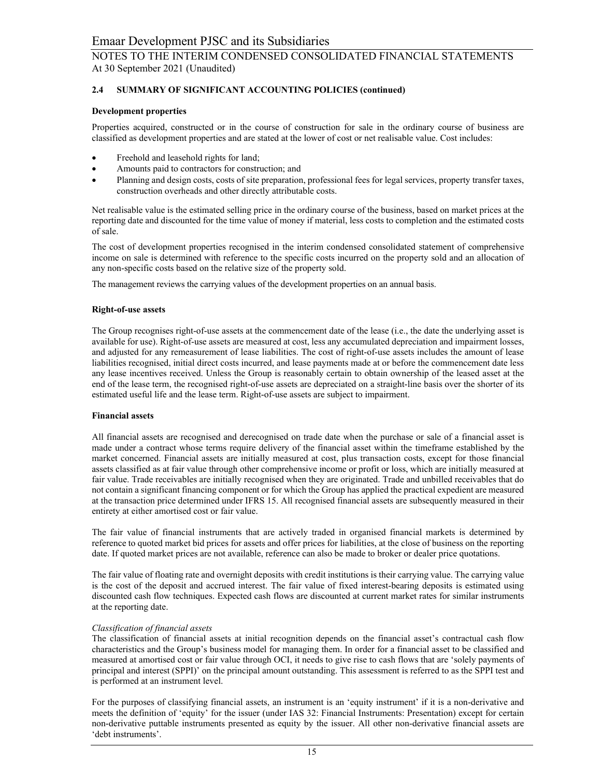# **2.4 SUMMARY OF SIGNIFICANT ACCOUNTING POLICIES (continued)**

### **Development properties**

Properties acquired, constructed or in the course of construction for sale in the ordinary course of business are classified as development properties and are stated at the lower of cost or net realisable value. Cost includes:

- Freehold and leasehold rights for land;
- Amounts paid to contractors for construction; and
- Planning and design costs, costs of site preparation, professional fees for legal services, property transfer taxes, construction overheads and other directly attributable costs.

Net realisable value is the estimated selling price in the ordinary course of the business, based on market prices at the reporting date and discounted for the time value of money if material, less costs to completion and the estimated costs of sale.

The cost of development properties recognised in the interim condensed consolidated statement of comprehensive income on sale is determined with reference to the specific costs incurred on the property sold and an allocation of any non-specific costs based on the relative size of the property sold.

The management reviews the carrying values of the development properties on an annual basis.

### **Right-of-use assets**

The Group recognises right-of-use assets at the commencement date of the lease (i.e., the date the underlying asset is available for use). Right-of-use assets are measured at cost, less any accumulated depreciation and impairment losses, and adjusted for any remeasurement of lease liabilities. The cost of right-of-use assets includes the amount of lease liabilities recognised, initial direct costs incurred, and lease payments made at or before the commencement date less any lease incentives received. Unless the Group is reasonably certain to obtain ownership of the leased asset at the end of the lease term, the recognised right-of-use assets are depreciated on a straight-line basis over the shorter of its estimated useful life and the lease term. Right-of-use assets are subject to impairment.

#### **Financial assets**

All financial assets are recognised and derecognised on trade date when the purchase or sale of a financial asset is made under a contract whose terms require delivery of the financial asset within the timeframe established by the market concerned. Financial assets are initially measured at cost, plus transaction costs, except for those financial assets classified as at fair value through other comprehensive income or profit or loss, which are initially measured at fair value. Trade receivables are initially recognised when they are originated. Trade and unbilled receivables that do not contain a significant financing component or for which the Group has applied the practical expedient are measured at the transaction price determined under IFRS 15. All recognised financial assets are subsequently measured in their entirety at either amortised cost or fair value.

The fair value of financial instruments that are actively traded in organised financial markets is determined by reference to quoted market bid prices for assets and offer prices for liabilities, at the close of business on the reporting date. If quoted market prices are not available, reference can also be made to broker or dealer price quotations.

The fair value of floating rate and overnight deposits with credit institutions is their carrying value. The carrying value is the cost of the deposit and accrued interest. The fair value of fixed interest-bearing deposits is estimated using discounted cash flow techniques. Expected cash flows are discounted at current market rates for similar instruments at the reporting date.

#### *Classification of financial assets*

The classification of financial assets at initial recognition depends on the financial asset's contractual cash flow characteristics and the Group's business model for managing them. In order for a financial asset to be classified and measured at amortised cost or fair value through OCI, it needs to give rise to cash flows that are 'solely payments of principal and interest (SPPI)' on the principal amount outstanding. This assessment is referred to as the SPPI test and is performed at an instrument level.

For the purposes of classifying financial assets, an instrument is an 'equity instrument' if it is a non-derivative and meets the definition of 'equity' for the issuer (under IAS 32: Financial Instruments: Presentation) except for certain non-derivative puttable instruments presented as equity by the issuer. All other non-derivative financial assets are 'debt instruments'.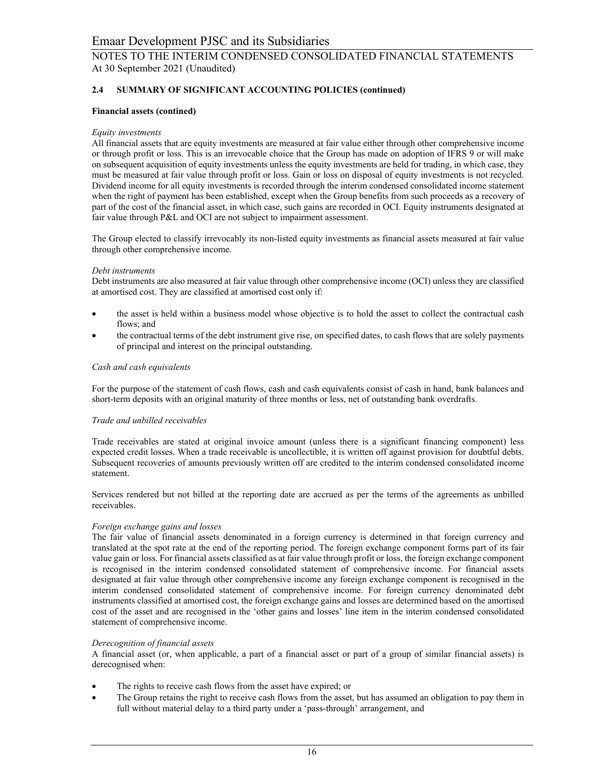# **2.4 SUMMARY OF SIGNIFICANT ACCOUNTING POLICIES (continued)**

### **Financial assets (contined)**

#### *Equity investments*

All financial assets that are equity investments are measured at fair value either through other comprehensive income or through profit or loss. This is an irrevocable choice that the Group has made on adoption of IFRS 9 or will make on subsequent acquisition of equity investments unless the equity investments are held for trading, in which case, they must be measured at fair value through profit or loss. Gain or loss on disposal of equity investments is not recycled. Dividend income for all equity investments is recorded through the interim condensed consolidated income statement when the right of payment has been established, except when the Group benefits from such proceeds as a recovery of part of the cost of the financial asset, in which case, such gains are recorded in OCI. Equity instruments designated at fair value through P&L and OCI are not subject to impairment assessment.

The Group elected to classify irrevocably its non-listed equity investments as financial assets measured at fair value through other comprehensive income.

#### *Debt instruments*

Debt instruments are also measured at fair value through other comprehensive income (OCI) unless they are classified at amortised cost. They are classified at amortised cost only if:

- the asset is held within a business model whose objective is to hold the asset to collect the contractual cash flows; and
- the contractual terms of the debt instrument give rise, on specified dates, to cash flows that are solely payments of principal and interest on the principal outstanding.

### *Cash and cash equivalents*

For the purpose of the statement of cash flows, cash and cash equivalents consist of cash in hand, bank balances and short-term deposits with an original maturity of three months or less, net of outstanding bank overdrafts.

#### *Trade and unbilled receivables*

Trade receivables are stated at original invoice amount (unless there is a significant financing component) less expected credit losses. When a trade receivable is uncollectible, it is written off against provision for doubtful debts. Subsequent recoveries of amounts previously written off are credited to the interim condensed consolidated income statement.

Services rendered but not billed at the reporting date are accrued as per the terms of the agreements as unbilled receivables.

#### *Foreign exchange gains and losses*

The fair value of financial assets denominated in a foreign currency is determined in that foreign currency and translated at the spot rate at the end of the reporting period. The foreign exchange component forms part of its fair value gain or loss. For financial assets classified as at fair value through profit or loss, the foreign exchange component is recognised in the interim condensed consolidated statement of comprehensive income. For financial assets designated at fair value through other comprehensive income any foreign exchange component is recognised in the interim condensed consolidated statement of comprehensive income. For foreign currency denominated debt instruments classified at amortised cost, the foreign exchange gains and losses are determined based on the amortised cost of the asset and are recognised in the 'other gains and losses' line item in the interim condensed consolidated statement of comprehensive income.

#### *Derecognition of financial assets*

A financial asset (or, when applicable, a part of a financial asset or part of a group of similar financial assets) is derecognised when:

- The rights to receive cash flows from the asset have expired; or
- The Group retains the right to receive cash flows from the asset, but has assumed an obligation to pay them in full without material delay to a third party under a 'pass-through' arrangement, and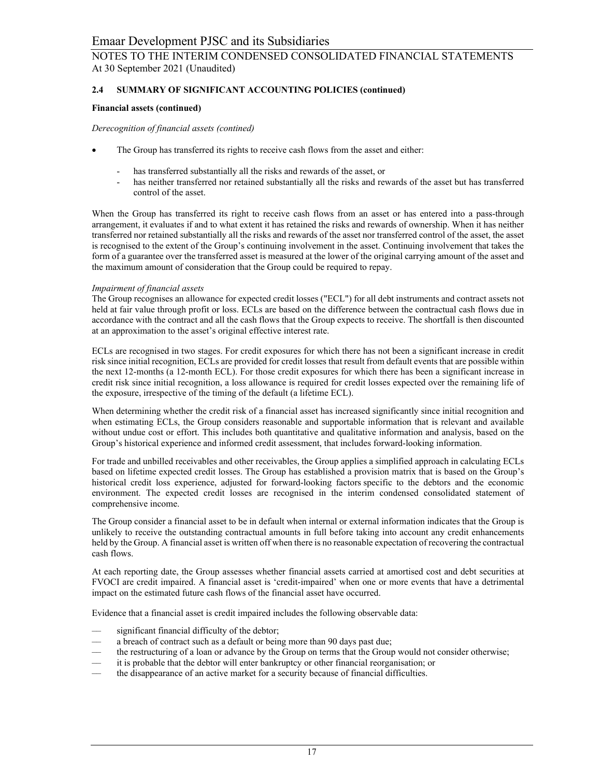# **2.4 SUMMARY OF SIGNIFICANT ACCOUNTING POLICIES (continued)**

#### **Financial assets (continued)**

#### *Derecognition of financial assets (contined)*

- The Group has transferred its rights to receive cash flows from the asset and either:
	- has transferred substantially all the risks and rewards of the asset, or
	- has neither transferred nor retained substantially all the risks and rewards of the asset but has transferred control of the asset.

When the Group has transferred its right to receive cash flows from an asset or has entered into a pass-through arrangement, it evaluates if and to what extent it has retained the risks and rewards of ownership. When it has neither transferred nor retained substantially all the risks and rewards of the asset nor transferred control of the asset, the asset is recognised to the extent of the Group's continuing involvement in the asset. Continuing involvement that takes the form of a guarantee over the transferred asset is measured at the lower of the original carrying amount of the asset and the maximum amount of consideration that the Group could be required to repay.

#### *Impairment of financial assets*

The Group recognises an allowance for expected credit losses ("ECL") for all debt instruments and contract assets not held at fair value through profit or loss. ECLs are based on the difference between the contractual cash flows due in accordance with the contract and all the cash flows that the Group expects to receive. The shortfall is then discounted at an approximation to the asset's original effective interest rate.

ECLs are recognised in two stages. For credit exposures for which there has not been a significant increase in credit risk since initial recognition, ECLs are provided for credit losses that result from default events that are possible within the next 12-months (a 12-month ECL). For those credit exposures for which there has been a significant increase in credit risk since initial recognition, a loss allowance is required for credit losses expected over the remaining life of the exposure, irrespective of the timing of the default (a lifetime ECL).

When determining whether the credit risk of a financial asset has increased significantly since initial recognition and when estimating ECLs, the Group considers reasonable and supportable information that is relevant and available without undue cost or effort. This includes both quantitative and qualitative information and analysis, based on the Group's historical experience and informed credit assessment, that includes forward-looking information.

For trade and unbilled receivables and other receivables, the Group applies a simplified approach in calculating ECLs based on lifetime expected credit losses. The Group has established a provision matrix that is based on the Group's historical credit loss experience, adjusted for forward-looking factors specific to the debtors and the economic environment. The expected credit losses are recognised in the interim condensed consolidated statement of comprehensive income.

The Group consider a financial asset to be in default when internal or external information indicates that the Group is unlikely to receive the outstanding contractual amounts in full before taking into account any credit enhancements held by the Group. A financial asset is written off when there is no reasonable expectation of recovering the contractual cash flows.

At each reporting date, the Group assesses whether financial assets carried at amortised cost and debt securities at FVOCI are credit impaired. A financial asset is 'credit-impaired' when one or more events that have a detrimental impact on the estimated future cash flows of the financial asset have occurred.

Evidence that a financial asset is credit impaired includes the following observable data:

- significant financial difficulty of the debtor;
- a breach of contract such as a default or being more than 90 days past due;
- –– the restructuring of a loan or advance by the Group on terms that the Group would not consider otherwise;
- it is probable that the debtor will enter bankruptcy or other financial reorganisation; or
- the disappearance of an active market for a security because of financial difficulties.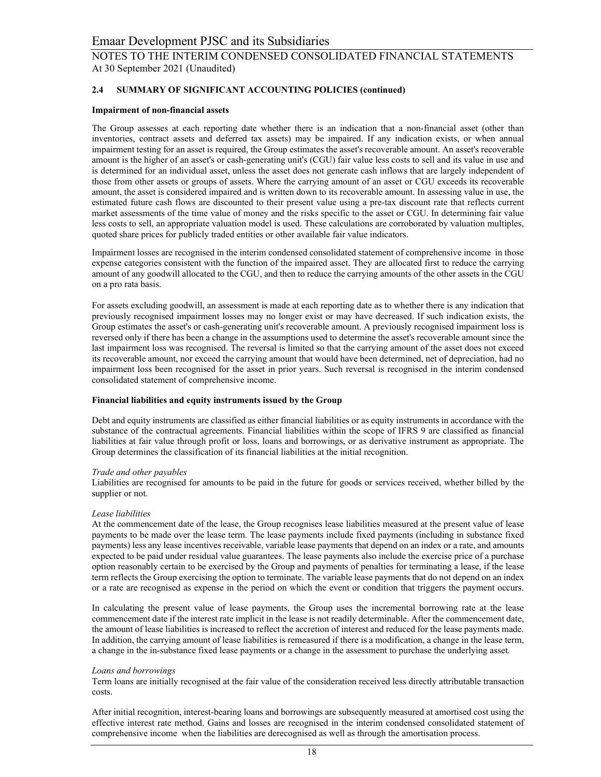# **2.4 SUMMARY OF SIGNIFICANT ACCOUNTING POLICIES (continued)**

#### **Impairment of non-financial assets**

The Group assesses at each reporting date whether there is an indication that a non-financial asset (other than inventories, contract assets and deferred tax assets) may be impaired. If any indication exists, or when annual impairment testing for an asset is required, the Group estimates the asset's recoverable amount. An asset's recoverable amount is the higher of an asset's or cash-generating unit's (CGU) fair value less costs to sell and its value in use and is determined for an individual asset, unless the asset does not generate cash inflows that are largely independent of those from other assets or groups of assets. Where the carrying amount of an asset or CGU exceeds its recoverable amount, the asset is considered impaired and is written down to its recoverable amount. In assessing value in use, the estimated future cash flows are discounted to their present value using a pre-tax discount rate that reflects current market assessments of the time value of money and the risks specific to the asset or CGU. In determining fair value less costs to sell, an appropriate valuation model is used. These calculations are corroborated by valuation multiples, quoted share prices for publicly traded entities or other available fair value indicators.

Impairment losses are recognised in the interim condensed consolidated statement of comprehensive income in those expense categories consistent with the function of the impaired asset. They are allocated first to reduce the carrying amount of any goodwill allocated to the CGU, and then to reduce the carrying amounts of the other assets in the CGU on a pro rata basis.

For assets excluding goodwill, an assessment is made at each reporting date as to whether there is any indication that previously recognised impairment losses may no longer exist or may have decreased. If such indication exists, the Group estimates the asset's or cash-generating unit's recoverable amount. A previously recognised impairment loss is reversed only if there has been a change in the assumptions used to determine the asset's recoverable amount since the last impairment loss was recognised. The reversal is limited so that the carrying amount of the asset does not exceed its recoverable amount, nor exceed the carrying amount that would have been determined, net of depreciation, had no impairment loss been recognised for the asset in prior years. Such reversal is recognised in the interim condensed consolidated statement of comprehensive income.

#### **Financial liabilities and equity instruments issued by the Group**

Debt and equity instruments are classified as either financial liabilities or as equity instruments in accordance with the substance of the contractual agreements. Financial liabilities within the scope of IFRS 9 are classified as financial liabilities at fair value through profit or loss, loans and borrowings, or as derivative instrument as appropriate. The Group determines the classification of its financial liabilities at the initial recognition.

#### *Trade and other payables*

Liabilities are recognised for amounts to be paid in the future for goods or services received, whether billed by the supplier or not.

#### *Lease liabilities*

At the commencement date of the lease, the Group recognises lease liabilities measured at the present value of lease payments to be made over the lease term. The lease payments include fixed payments (including in substance fixed payments) less any lease incentives receivable, variable lease payments that depend on an index or a rate, and amounts expected to be paid under residual value guarantees. The lease payments also include the exercise price of a purchase option reasonably certain to be exercised by the Group and payments of penalties for terminating a lease, if the lease term reflects the Group exercising the option to terminate. The variable lease payments that do not depend on an index or a rate are recognised as expense in the period on which the event or condition that triggers the payment occurs.

In calculating the present value of lease payments, the Group uses the incremental borrowing rate at the lease commencement date if the interest rate implicit in the lease is not readily determinable. After the commencement date, the amount of lease liabilities is increased to reflect the accretion of interest and reduced for the lease payments made. In addition, the carrying amount of lease liabilities is remeasured if there is a modification, a change in the lease term, a change in the in-substance fixed lease payments or a change in the assessment to purchase the underlying asset*.* 

#### *Loans and borrowings*

Term loans are initially recognised at the fair value of the consideration received less directly attributable transaction costs.

After initial recognition, interest-bearing loans and borrowings are subsequently measured at amortised cost using the effective interest rate method. Gains and losses are recognised in the interim condensed consolidated statement of comprehensive income when the liabilities are derecognised as well as through the amortisation process.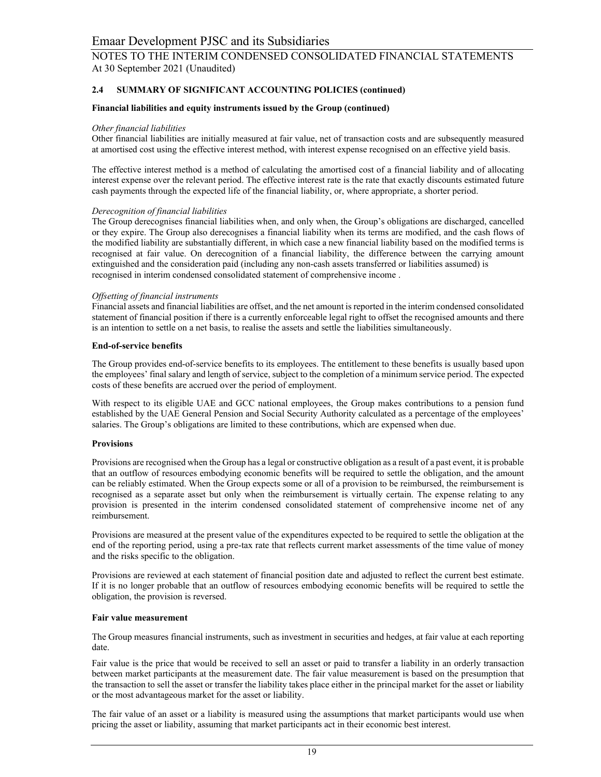# **2.4 SUMMARY OF SIGNIFICANT ACCOUNTING POLICIES (continued)**

#### **Financial liabilities and equity instruments issued by the Group (continued)**

#### *Other financial liabilities*

Other financial liabilities are initially measured at fair value, net of transaction costs and are subsequently measured at amortised cost using the effective interest method, with interest expense recognised on an effective yield basis.

The effective interest method is a method of calculating the amortised cost of a financial liability and of allocating interest expense over the relevant period. The effective interest rate is the rate that exactly discounts estimated future cash payments through the expected life of the financial liability, or, where appropriate, a shorter period.

#### *Derecognition of financial liabilities*

The Group derecognises financial liabilities when, and only when, the Group's obligations are discharged, cancelled or they expire. The Group also derecognises a financial liability when its terms are modified, and the cash flows of the modified liability are substantially different, in which case a new financial liability based on the modified terms is recognised at fair value. On derecognition of a financial liability, the difference between the carrying amount extinguished and the consideration paid (including any non-cash assets transferred or liabilities assumed) is recognised in interim condensed consolidated statement of comprehensive income .

#### *Offsetting of financial instruments*

Financial assets and financial liabilities are offset, and the net amount is reported in the interim condensed consolidated statement of financial position if there is a currently enforceable legal right to offset the recognised amounts and there is an intention to settle on a net basis, to realise the assets and settle the liabilities simultaneously.

#### **End-of-service benefits**

The Group provides end-of-service benefits to its employees. The entitlement to these benefits is usually based upon the employees' final salary and length of service, subject to the completion of a minimum service period. The expected costs of these benefits are accrued over the period of employment.

With respect to its eligible UAE and GCC national employees, the Group makes contributions to a pension fund established by the UAE General Pension and Social Security Authority calculated as a percentage of the employees' salaries. The Group's obligations are limited to these contributions, which are expensed when due.

#### **Provisions**

Provisions are recognised when the Group has a legal or constructive obligation as a result of a past event, it is probable that an outflow of resources embodying economic benefits will be required to settle the obligation, and the amount can be reliably estimated. When the Group expects some or all of a provision to be reimbursed, the reimbursement is recognised as a separate asset but only when the reimbursement is virtually certain. The expense relating to any provision is presented in the interim condensed consolidated statement of comprehensive income net of any reimbursement.

Provisions are measured at the present value of the expenditures expected to be required to settle the obligation at the end of the reporting period, using a pre-tax rate that reflects current market assessments of the time value of money and the risks specific to the obligation.

Provisions are reviewed at each statement of financial position date and adjusted to reflect the current best estimate. If it is no longer probable that an outflow of resources embodying economic benefits will be required to settle the obligation, the provision is reversed.

#### **Fair value measurement**

The Group measures financial instruments, such as investment in securities and hedges, at fair value at each reporting date.

Fair value is the price that would be received to sell an asset or paid to transfer a liability in an orderly transaction between market participants at the measurement date. The fair value measurement is based on the presumption that the transaction to sell the asset or transfer the liability takes place either in the principal market for the asset or liability or the most advantageous market for the asset or liability.

The fair value of an asset or a liability is measured using the assumptions that market participants would use when pricing the asset or liability, assuming that market participants act in their economic best interest.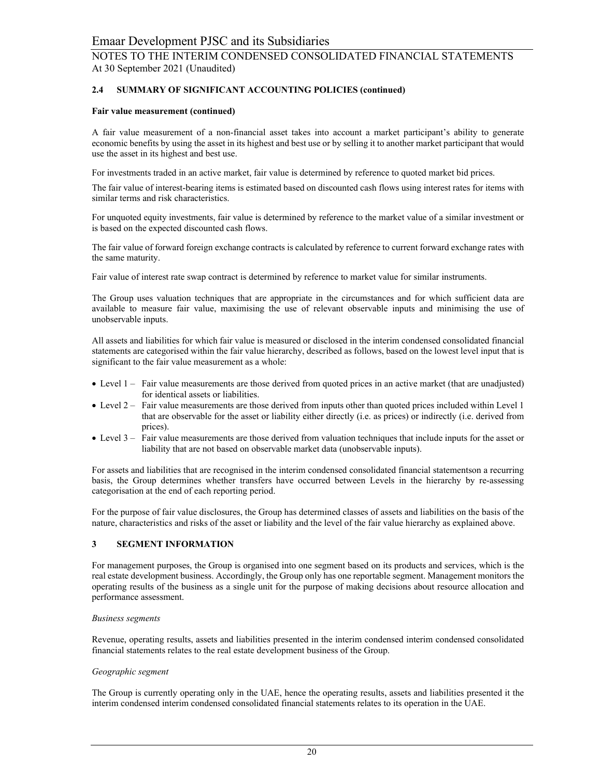## **2.4 SUMMARY OF SIGNIFICANT ACCOUNTING POLICIES (continued)**

#### **Fair value measurement (continued)**

A fair value measurement of a non-financial asset takes into account a market participant's ability to generate economic benefits by using the asset in its highest and best use or by selling it to another market participant that would use the asset in its highest and best use.

For investments traded in an active market, fair value is determined by reference to quoted market bid prices.

The fair value of interest-bearing items is estimated based on discounted cash flows using interest rates for items with similar terms and risk characteristics.

For unquoted equity investments, fair value is determined by reference to the market value of a similar investment or is based on the expected discounted cash flows.

The fair value of forward foreign exchange contracts is calculated by reference to current forward exchange rates with the same maturity.

Fair value of interest rate swap contract is determined by reference to market value for similar instruments.

The Group uses valuation techniques that are appropriate in the circumstances and for which sufficient data are available to measure fair value, maximising the use of relevant observable inputs and minimising the use of unobservable inputs.

All assets and liabilities for which fair value is measured or disclosed in the interim condensed consolidated financial statements are categorised within the fair value hierarchy, described as follows, based on the lowest level input that is significant to the fair value measurement as a whole:

- Level 1 Fair value measurements are those derived from quoted prices in an active market (that are unadjusted) for identical assets or liabilities.
- Level 2 Fair value measurements are those derived from inputs other than quoted prices included within Level 1 that are observable for the asset or liability either directly (i.e. as prices) or indirectly (i.e. derived from prices).
- Level 3 Fair value measurements are those derived from valuation techniques that include inputs for the asset or liability that are not based on observable market data (unobservable inputs).

For assets and liabilities that are recognised in the interim condensed consolidated financial statementson a recurring basis, the Group determines whether transfers have occurred between Levels in the hierarchy by re-assessing categorisation at the end of each reporting period.

For the purpose of fair value disclosures, the Group has determined classes of assets and liabilities on the basis of the nature, characteristics and risks of the asset or liability and the level of the fair value hierarchy as explained above.

#### **3 SEGMENT INFORMATION**

For management purposes, the Group is organised into one segment based on its products and services, which is the real estate development business. Accordingly, the Group only has one reportable segment. Management monitors the operating results of the business as a single unit for the purpose of making decisions about resource allocation and performance assessment.

#### *Business segments*

Revenue, operating results, assets and liabilities presented in the interim condensed interim condensed consolidated financial statements relates to the real estate development business of the Group.

#### *Geographic segment*

The Group is currently operating only in the UAE, hence the operating results, assets and liabilities presented it the interim condensed interim condensed consolidated financial statements relates to its operation in the UAE.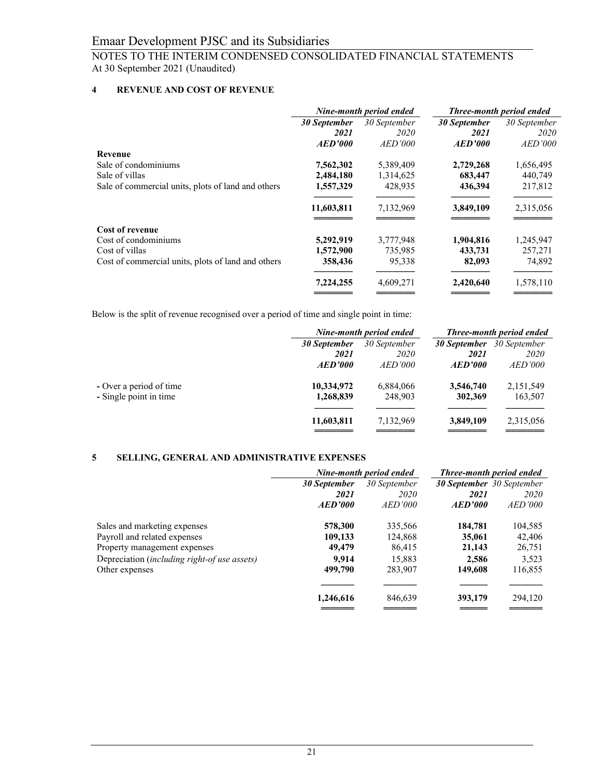# NOTES TO THE INTERIM CONDENSED CONSOLIDATED FINANCIAL STATEMENTS At 30 September 2021 (Unaudited)

# **4 REVENUE AND COST OF REVENUE**

|                                                    | Nine-month period ended |              |              | Three-month period ended |
|----------------------------------------------------|-------------------------|--------------|--------------|--------------------------|
|                                                    | 30 September            | 30 September | 30 September | 30 September             |
|                                                    | 2021                    | 2020         | 2021         | 2020                     |
|                                                    | AED'000                 | AED'000      | AED'000      | AED'000                  |
| <b>Revenue</b>                                     |                         |              |              |                          |
| Sale of condominiums                               | 7,562,302               | 5,389,409    | 2,729,268    | 1,656,495                |
| Sale of villas                                     | 2,484,180               | 1,314,625    | 683,447      | 440,749                  |
| Sale of commercial units, plots of land and others | 1,557,329               | 428,935      | 436,394      | 217,812                  |
|                                                    | 11,603,811              | 7,132,969    | 3,849,109    | 2,315,056                |
| <b>Cost of revenue</b>                             |                         |              |              |                          |
| Cost of condominiums                               | 5,292,919               | 3,777,948    | 1,904,816    | 1,245,947                |
| Cost of villas                                     | 1,572,900               | 735,985      | 433,731      | 257,271                  |
| Cost of commercial units, plots of land and others | 358,436                 | 95,338       | 82,093       | 74,892                   |
|                                                    | 7,224,255               | 4,609,271    | 2,420,640    | 1,578,110                |
|                                                    |                         |              |              |                          |

Below is the split of revenue recognised over a period of time and single point in time:

|                         | Nine-month period ended |              |                                  | <b>Three-month period ended</b> |
|-------------------------|-------------------------|--------------|----------------------------------|---------------------------------|
|                         | <b>30 September</b>     | 30 September | <b>30 September</b> 30 September |                                 |
|                         | 2021                    | <i>2020</i>  | 2021                             | <i>2020</i>                     |
|                         | AED'000                 | AED'000      | AED'000                          | AED'000                         |
| - Over a period of time | 10,334,972              | 6,884,066    | 3,546,740                        | 2,151,549                       |
| - Single point in time  | 1,268,839               | 248,903      | 302,369                          | 163,507                         |
|                         | 11,603,811              | 7,132,969    | 3,849,109                        | 2,315,056                       |

### **5 SELLING, GENERAL AND ADMINISTRATIVE EXPENSES**

|                                              | Nine-month period ended |              | <b>Three-month period ended</b>  |         |
|----------------------------------------------|-------------------------|--------------|----------------------------------|---------|
|                                              | <b>30 September</b>     | 30 September | <b>30 September</b> 30 September |         |
|                                              | 2021                    | 2020         | 2021                             | 2020    |
|                                              | AED'000                 | AED'000      | AED'000                          | AED'000 |
| Sales and marketing expenses                 | 578,300                 | 335,566      | 184,781                          | 104,585 |
| Payroll and related expenses                 | 109,133                 | 124,868      | 35,061                           | 42,406  |
| Property management expenses                 | 49,479                  | 86,415       | 21,143                           | 26,751  |
| Depreciation (including right-of use assets) | 9.914                   | 15,883       | 2,586                            | 3,523   |
| Other expenses                               | 499,790                 | 283,907      | 149,608                          | 116,855 |
|                                              |                         |              |                                  |         |
|                                              | 1,246,616               | 846,639      | 393,179                          | 294,120 |
|                                              |                         |              |                                  |         |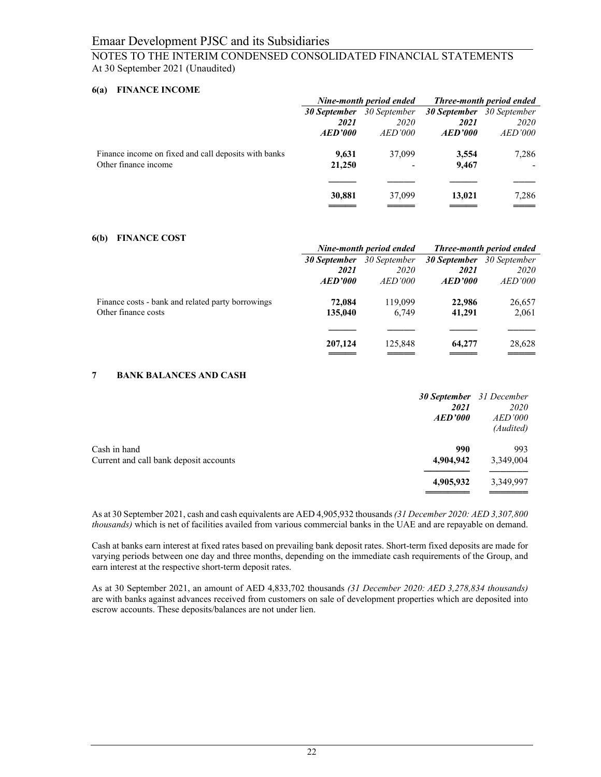# NOTES TO THE INTERIM CONDENSED CONSOLIDATED FINANCIAL STATEMENTS At 30 September 2021 (Unaudited)

#### **6(a) FINANCE INCOME**

|                                                                              | Nine-month period ended |                                  |                                  | Three-month period ended |
|------------------------------------------------------------------------------|-------------------------|----------------------------------|----------------------------------|--------------------------|
|                                                                              |                         | <b>30 September</b> 30 September | <b>30 September</b> 30 September |                          |
|                                                                              | 2021                    | 2020                             | 2021                             | 2020                     |
|                                                                              | AED'000                 | <i>AED'000</i>                   | AED'000                          | <i>AED'000</i>           |
| Finance income on fixed and call deposits with banks<br>Other finance income | 9.631<br>21,250         | 37,099                           | 3,554<br>9,467                   | 7,286                    |
|                                                                              |                         |                                  |                                  |                          |
|                                                                              | 30,881                  | 37,099                           | 13,021                           | 7,286                    |

#### **6(b) FINANCE COST**

|                                                   |                     | Nine-month period ended |                       | Three-month period ended         |
|---------------------------------------------------|---------------------|-------------------------|-----------------------|----------------------------------|
|                                                   | <b>30 September</b> | 30 September            |                       | <b>30 September</b> 30 September |
|                                                   | 2021                | 2020                    | 2021                  | 2020                             |
|                                                   | AED'000             | AED'000                 | <i><b>AED'000</b></i> | AED'000                          |
| Finance costs - bank and related party borrowings | 72,084              | 119,099                 | 22,986                | 26,657                           |
| Other finance costs                               | 135,040             | 6.749                   | 41,291                | 2,061                            |
|                                                   |                     |                         |                       |                                  |
|                                                   | 207,124             | 125,848                 | 64,277                | 28,628                           |
|                                                   |                     |                         |                       |                                  |

# **7 BANK BALANCES AND CASH**

|      | <b>30 September</b> 31 December   |
|------|-----------------------------------|
| 2021 | <i>2020</i>                       |
|      | <i>AED'000</i>                    |
|      | (Audited)                         |
| 990  | 993                               |
|      | 3,349,004                         |
|      | 3,349,997                         |
|      | AED'000<br>4,904,942<br>4,905,932 |

As at 30 September 2021, cash and cash equivalents are AED 4,905,932 thousands *(31 December 2020: AED 3,307,800 thousands)* which is net of facilities availed from various commercial banks in the UAE and are repayable on demand.

Cash at banks earn interest at fixed rates based on prevailing bank deposit rates. Short-term fixed deposits are made for varying periods between one day and three months, depending on the immediate cash requirements of the Group, and earn interest at the respective short-term deposit rates.

As at 30 September 2021, an amount of AED 4,833,702 thousands *(31 December 2020: AED 3,278,834 thousands)* are with banks against advances received from customers on sale of development properties which are deposited into escrow accounts. These deposits/balances are not under lien.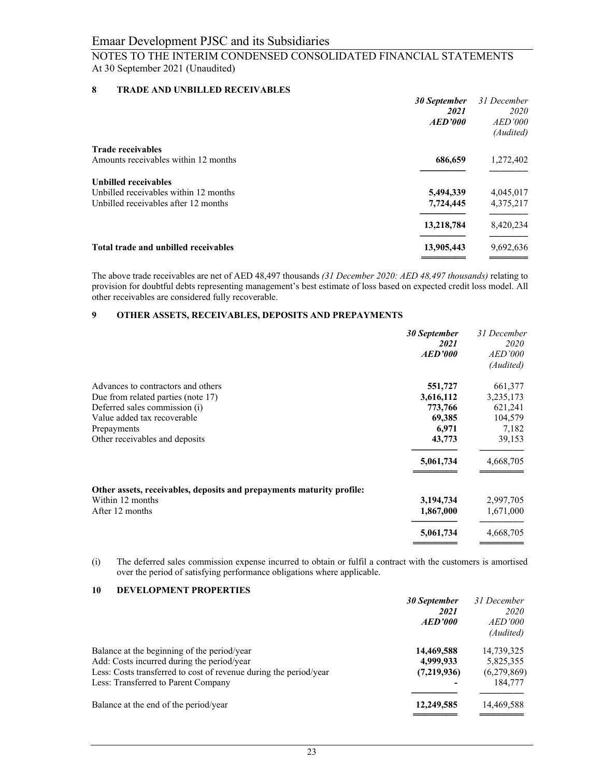## **8 TRADE AND UNBILLED RECEIVABLES**

|                                       | 30 September   | 31 December    |
|---------------------------------------|----------------|----------------|
|                                       | 2021           | 2020           |
|                                       | <b>AED'000</b> | <i>AED'000</i> |
|                                       |                | (Audited)      |
| <b>Trade receivables</b>              |                |                |
| Amounts receivables within 12 months  | 686,659        | 1,272,402      |
| <b>Unbilled receivables</b>           |                |                |
| Unbilled receivables within 12 months | 5,494,339      | 4,045,017      |
| Unbilled receivables after 12 months  | 7,724,445      | 4,375,217      |
|                                       |                |                |
|                                       | 13,218,784     | 8,420,234      |
| Total trade and unbilled receivables  | 13,905,443     | 9,692,636      |
|                                       |                |                |

The above trade receivables are net of AED 48,497 thousands *(31 December 2020: AED 48,497 thousands)* relating to provision for doubtful debts representing management's best estimate of loss based on expected credit loss model. All other receivables are considered fully recoverable.

## **9 OTHER ASSETS, RECEIVABLES, DEPOSITS AND PREPAYMENTS**

|                                                                       | 30 September<br>2021<br>AED'000 | 31 December<br>2020<br><i>AED'000</i><br>(Audited) |
|-----------------------------------------------------------------------|---------------------------------|----------------------------------------------------|
| Advances to contractors and others                                    | 551,727                         | 661,377                                            |
| Due from related parties (note 17)                                    | 3,616,112                       | 3,235,173                                          |
| Deferred sales commission (i)                                         | 773,766                         | 621,241                                            |
| Value added tax recoverable                                           | 69,385                          | 104,579                                            |
| Prepayments                                                           | 6.971                           | 7,182                                              |
| Other receivables and deposits                                        | 43,773                          | 39,153                                             |
|                                                                       | 5,061,734                       | 4,668,705                                          |
| Other assets, receivables, deposits and prepayments maturity profile: |                                 |                                                    |
| Within 12 months                                                      | 3,194,734                       | 2,997,705                                          |
| After 12 months                                                       | 1,867,000                       | 1,671,000                                          |
|                                                                       | 5,061,734                       | 4,668,705                                          |

(i) The deferred sales commission expense incurred to obtain or fulfil a contract with the customers is amortised over the period of satisfying performance obligations where applicable.

#### **10 DEVELOPMENT PROPERTIES**

|                                                                   | <b>30 September</b> | 31 December    |
|-------------------------------------------------------------------|---------------------|----------------|
|                                                                   | 2021                | 2020           |
|                                                                   | AED'000             | <i>AED'000</i> |
|                                                                   |                     | (Audited)      |
| Balance at the beginning of the period/year                       | 14,469,588          | 14,739,325     |
| Add: Costs incurred during the period/year                        | 4,999,933           | 5,825,355      |
| Less: Costs transferred to cost of revenue during the period/year | (7,219,936)         | (6,279,869)    |
| Less: Transferred to Parent Company                               |                     | 184,777        |
| Balance at the end of the period/year                             | 12,249,585          | 14,469,588     |
|                                                                   |                     |                |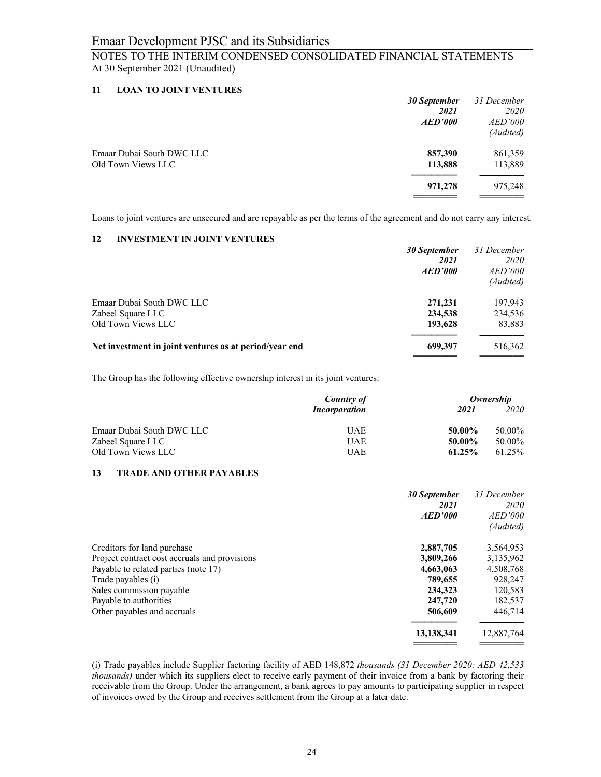# **11 LOAN TO JOINT VENTURES**

|                           | 30 September | 31 December    |
|---------------------------|--------------|----------------|
|                           | 2021         | <i>2020</i>    |
|                           | AED'000      | <i>AED'000</i> |
|                           |              | (Audited)      |
| Emaar Dubai South DWC LLC | 857,390      | 861,359        |
| Old Town Views LLC        | 113,888      | 113,889        |
|                           | 971,278      | 975,248        |
|                           |              |                |

Loans to joint ventures are unsecured and are repayable as per the terms of the agreement and do not carry any interest.

## **12 INVESTMENT IN JOINT VENTURES**

|                                                        | <b>30 September</b> | 31 December    |
|--------------------------------------------------------|---------------------|----------------|
|                                                        | 2021                | <i>2020</i>    |
|                                                        | AED'000             | <i>AED'000</i> |
|                                                        |                     | (Audited)      |
| Emaar Dubai South DWC LLC                              | 271,231             | 197,943        |
| Zabeel Square LLC                                      | 234,538             | 234,536        |
| Old Town Views LLC                                     | 193,628             | 83,883         |
| Net investment in joint ventures as at period/year end | 699,397             | 516,362        |
|                                                        |                     |                |

The Group has the following effective ownership interest in its joint ventures:

|                           | Country of           | Ownership |        |  |
|---------------------------|----------------------|-----------|--------|--|
|                           | <i>Incorporation</i> | 2021      | 2020   |  |
| Emaar Dubai South DWC LLC | <b>UAE</b>           | 50.00%    | 50.00% |  |
| Zabeel Square LLC         | UAE                  | 50.00%    | 50.00% |  |
| Old Town Views LLC        | <b>UAE</b>           | 61.25%    | 61.25% |  |

#### **13 TRADE AND OTHER PAYABLES**

| 30 September<br>2021<br>AED'000 | 31 December<br>2020<br><i>AED'000</i><br>(Audited) |
|---------------------------------|----------------------------------------------------|
| 2,887,705                       | 3,564,953                                          |
| 3,809,266                       | 3,135,962                                          |
| 4,663,063                       | 4,508,768                                          |
| 789,655                         | 928,247                                            |
| 234,323                         | 120,583                                            |
| 247,720                         | 182,537                                            |
| 506,609                         | 446,714                                            |
| 13,138,341                      | 12,887,764                                         |
|                                 |                                                    |

(i) Trade payables include Supplier factoring facility of AED 148,872 *thousands (31 December 2020: AED 42,533 thousands*) under which its suppliers elect to receive early payment of their invoice from a bank by factoring their receivable from the Group. Under the arrangement, a bank agrees to pay amounts to participating supplier in respect of invoices owed by the Group and receives settlement from the Group at a later date.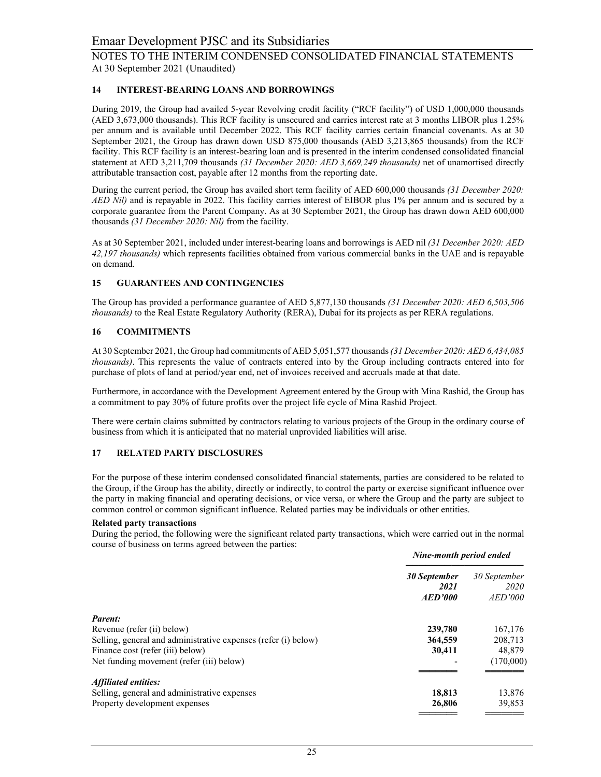# **14 INTEREST-BEARING LOANS AND BORROWINGS**

During 2019, the Group had availed 5-year Revolving credit facility ("RCF facility") of USD 1,000,000 thousands (AED 3,673,000 thousands). This RCF facility is unsecured and carries interest rate at 3 months LIBOR plus 1.25% per annum and is available until December 2022. This RCF facility carries certain financial covenants. As at 30 September 2021, the Group has drawn down USD 875,000 thousands (AED 3,213,865 thousands) from the RCF facility. This RCF facility is an interest-bearing loan and is presented in the interim condensed consolidated financial statement at AED 3,211,709 thousands *(31 December 2020: AED 3,669,249 thousands)* net of unamortised directly attributable transaction cost, payable after 12 months from the reporting date.

During the current period, the Group has availed short term facility of AED 600,000 thousands *(31 December 2020: AED Nil)* and is repayable in 2022. This facility carries interest of EIBOR plus 1% per annum and is secured by a corporate guarantee from the Parent Company. As at 30 September 2021, the Group has drawn down AED 600,000 thousands *(31 December 2020: Nil)* from the facility.

As at 30 September 2021, included under interest-bearing loans and borrowings is AED nil *(31 December 2020: AED 42,197 thousands)* which represents facilities obtained from various commercial banks in the UAE and is repayable on demand.

# **15 GUARANTEES AND CONTINGENCIES**

The Group has provided a performance guarantee of AED 5,877,130 thousands *(31 December 2020: AED 6,503,506 thousands)* to the Real Estate Regulatory Authority (RERA), Dubai for its projects as per RERA regulations.

### **16 COMMITMENTS**

At 30 September 2021, the Group had commitments of AED 5,051,577 thousands *(31 December 2020: AED 6,434,085 thousands)*. This represents the value of contracts entered into by the Group including contracts entered into for purchase of plots of land at period/year end, net of invoices received and accruals made at that date.

Furthermore, in accordance with the Development Agreement entered by the Group with Mina Rashid, the Group has a commitment to pay 30% of future profits over the project life cycle of Mina Rashid Project.

There were certain claims submitted by contractors relating to various projects of the Group in the ordinary course of business from which it is anticipated that no material unprovided liabilities will arise.

# **17 RELATED PARTY DISCLOSURES**

For the purpose of these interim condensed consolidated financial statements, parties are considered to be related to the Group, if the Group has the ability, directly or indirectly, to control the party or exercise significant influence over the party in making financial and operating decisions, or vice versa, or where the Group and the party are subject to common control or common significant influence. Related parties may be individuals or other entities.

#### **Related party transactions**

During the period, the following were the significant related party transactions, which were carried out in the normal course of business on terms agreed between the parties: *Nine-month period ended* 

|                                                                | <i><b>NINE-month period ended</b></i>  |                                 |
|----------------------------------------------------------------|----------------------------------------|---------------------------------|
|                                                                | <b>30 September</b><br>2021<br>AED'000 | 30 September<br>2020<br>AED'000 |
| <b>Parent:</b>                                                 |                                        |                                 |
| Revenue (refer (ii) below)                                     | 239,780                                | 167,176                         |
| Selling, general and administrative expenses (refer (i) below) | 364,559                                | 208,713                         |
| Finance cost (refer (iii) below)                               | 30,411                                 | 48,879                          |
| Net funding movement (refer (iii) below)                       |                                        | (170,000)                       |
| <i><b>Affiliated entities:</b></i>                             |                                        |                                 |
| Selling, general and administrative expenses                   | 18,813                                 | 13,876                          |
| Property development expenses                                  | 26,806                                 | 39,853                          |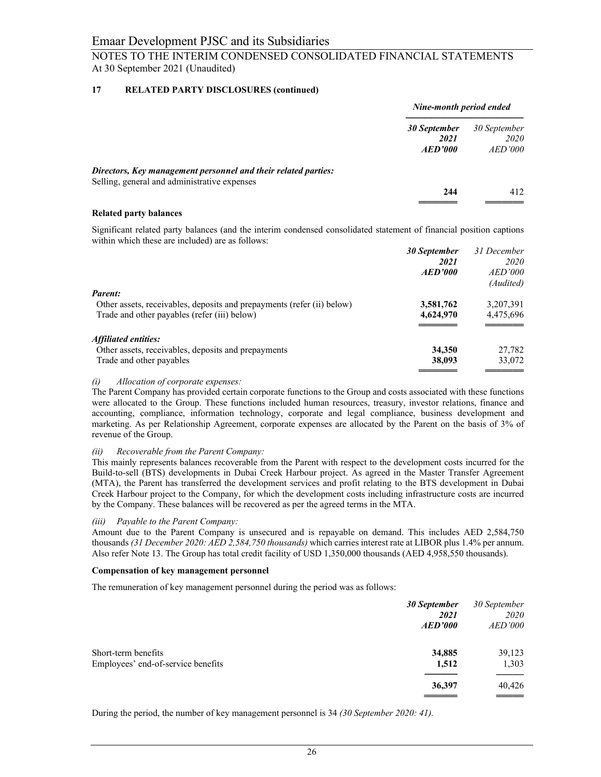# **17 RELATED PARTY DISCLOSURES (continued)**

|                                                                                                                | Nine-month period ended                |                                               |
|----------------------------------------------------------------------------------------------------------------|----------------------------------------|-----------------------------------------------|
|                                                                                                                | <b>30 September</b><br>2021<br>AED'000 | 30 September<br><i>2020</i><br><i>AED'000</i> |
| Directors, Key management personnel and their related parties:<br>Selling, general and administrative expenses |                                        |                                               |
|                                                                                                                | 244                                    | 412                                           |

#### **Related party balances**

Significant related party balances (and the interim condensed consolidated statement of financial position captions within which these are included) are as follows:

|                                                                        | <b>30 September</b> | 31 December    |
|------------------------------------------------------------------------|---------------------|----------------|
|                                                                        | 2021                | 2020           |
|                                                                        | AED'000             | <i>AED'000</i> |
|                                                                        |                     | (Audited)      |
| Parent:                                                                |                     |                |
| Other assets, receivables, deposits and prepayments (refer (ii) below) | 3,581,762           | 3,207,391      |
| Trade and other payables (refer (iii) below)                           | 4,624,970           | 4,475,696      |
|                                                                        |                     |                |
| <i><b>Affiliated entities:</b></i>                                     |                     |                |
| Other assets, receivables, deposits and prepayments                    | 34,350              | 27,782         |
| Trade and other payables                                               | 38,093              | 33,072         |
|                                                                        |                     |                |

#### *(i) Allocation of corporate expenses:*

The Parent Company has provided certain corporate functions to the Group and costs associated with these functions were allocated to the Group. These functions included human resources, treasury, investor relations, finance and accounting, compliance, information technology, corporate and legal compliance, business development and marketing. As per Relationship Agreement, corporate expenses are allocated by the Parent on the basis of 3% of revenue of the Group.

#### *(ii) Recoverable from the Parent Company:*

This mainly represents balances recoverable from the Parent with respect to the development costs incurred for the Build-to-sell (BTS) developments in Dubai Creek Harbour project. As agreed in the Master Transfer Agreement (MTA), the Parent has transferred the development services and profit relating to the BTS development in Dubai Creek Harbour project to the Company, for which the development costs including infrastructure costs are incurred by the Company. These balances will be recovered as per the agreed terms in the MTA.

#### *(iii) Payable to the Parent Company:*

Amount due to the Parent Company is unsecured and is repayable on demand. This includes AED 2,584,750 thousands *(31 December 2020: AED 2,584,750 thousands)* which carries interest rate at LIBOR plus 1.4% per annum. Also refer Note 13. The Group has total credit facility of USD 1,350,000 thousands (AED 4,958,550 thousands).

#### **Compensation of key management personnel**

The remuneration of key management personnel during the period was as follows:

|                                                           | <b>30 September</b><br>2021<br>AED'000 | 30 September<br>2020<br><i>AED'000</i> |
|-----------------------------------------------------------|----------------------------------------|----------------------------------------|
| Short-term benefits<br>Employees' end-of-service benefits | 34,885<br>1,512                        | 39,123<br>1,303                        |
|                                                           | 36,397                                 | 40,426                                 |

During the period, the number of key management personnel is 34 *(30 September 2020: 41).*